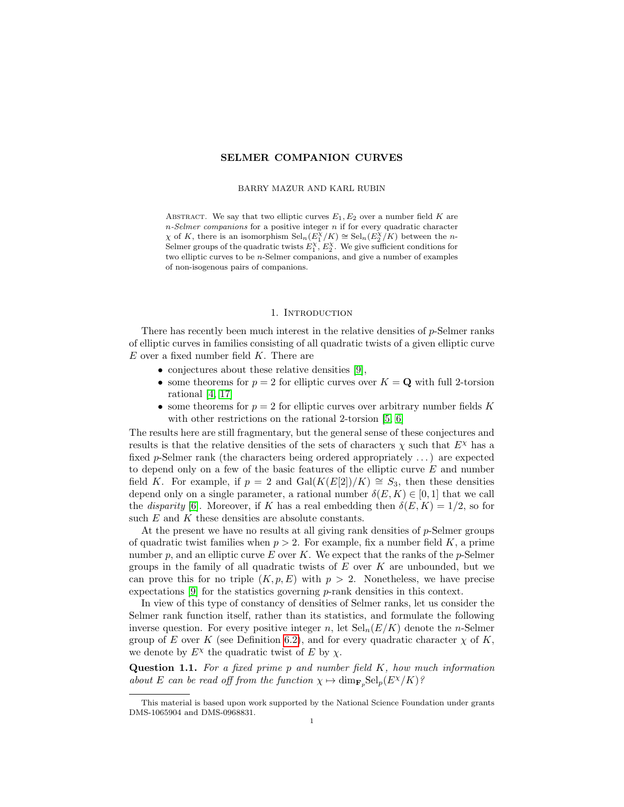# SELMER COMPANION CURVES

#### BARRY MAZUR AND KARL RUBIN

ABSTRACT. We say that two elliptic curves  $E_1, E_2$  over a number field K are  $n-Selmer\,\,companions$  for a positive integer  $n$  if for every quadratic character  $\chi$  of K, there is an isomorphism  $\text{Sel}_{n}(E_{1}^{\chi}/K) \cong \text{Sel}_{n}(E_{2}^{\chi}/K)$  between the n-Selmer groups of the quadratic twists  $E_1^{\chi}, E_2^{\chi}$ . We give sufficient conditions for two elliptic curves to be n-Selmer companions, and give a number of examples of non-isogenous pairs of companions.

#### 1. INTRODUCTION

There has recently been much interest in the relative densities of p-Selmer ranks of elliptic curves in families consisting of all quadratic twists of a given elliptic curve  $E$  over a fixed number field  $K$ . There are

- conjectures about these relative densities [\[9\]](#page-19-0),
- some theorems for  $p = 2$  for elliptic curves over  $K = \mathbf{Q}$  with full 2-torsion rational [\[4,](#page-18-0) [17\]](#page-19-1)
- some theorems for  $p = 2$  for elliptic curves over arbitrary number fields K with other restrictions on the rational 2-torsion [\[5,](#page-18-1) [6\]](#page-18-2)

The results here are still fragmentary, but the general sense of these conjectures and results is that the relative densities of the sets of characters  $\chi$  such that  $E^{\chi}$  has a fixed  $p$ -Selmer rank (the characters being ordered appropriately ...) are expected to depend only on a few of the basic features of the elliptic curve E and number field K. For example, if  $p = 2$  and  $Gal(K(E[2])/K) \cong S_3$ , then these densities depend only on a single parameter, a rational number  $\delta(E, K) \in [0, 1]$  that we call the disparity [\[6\]](#page-18-2). Moreover, if K has a real embedding then  $\delta(E, K) = 1/2$ , so for such  $E$  and  $K$  these densities are absolute constants.

At the present we have no results at all giving rank densities of  $p$ -Selmer groups of quadratic twist families when  $p > 2$ . For example, fix a number field K, a prime number  $p$ , and an elliptic curve  $E$  over  $K$ . We expect that the ranks of the  $p$ -Selmer groups in the family of all quadratic twists of  $E$  over  $K$  are unbounded, but we can prove this for no triple  $(K, p, E)$  with  $p > 2$ . Nonetheless, we have precise expectations  $[9]$  for the statistics governing p-rank densities in this context.

In view of this type of constancy of densities of Selmer ranks, let us consider the Selmer rank function itself, rather than its statistics, and formulate the following inverse question. For every positive integer n, let  $\text{Sel}_n(E/K)$  denote the n-Selmer group of E over K (see Definition [6.2\)](#page-10-0), and for every quadratic character  $\chi$  of K, we denote by  $E^{\chi}$  the quadratic twist of E by  $\chi$ .

**Question 1.1.** For a fixed prime p and number field  $K$ , how much information about E can be read off from the function  $\chi \mapsto \dim_{\mathbf{F}_p} \mathrm{Sel}_p(E^{\chi}/K)$ ?

This material is based upon work supported by the National Science Foundation under grants DMS-1065904 and DMS-0968831.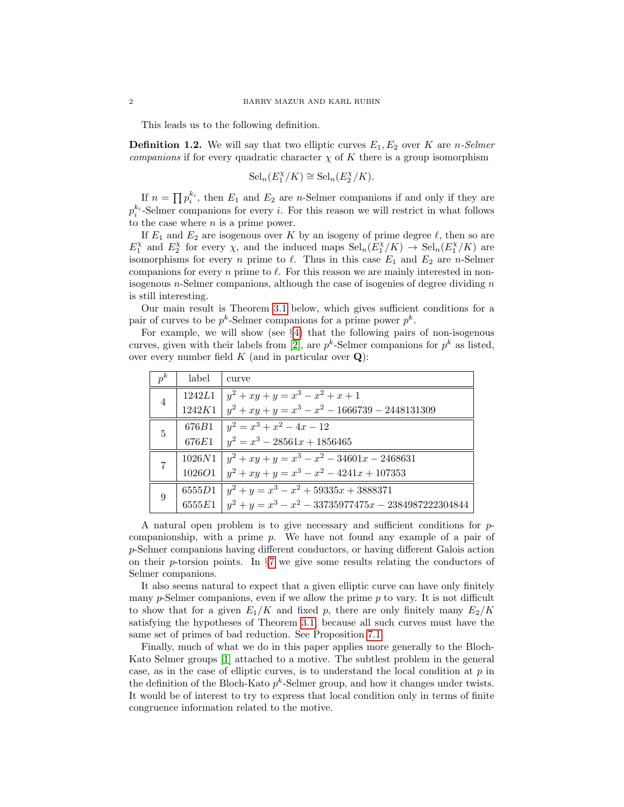This leads us to the following definition.

**Definition 1.2.** We will say that two elliptic curves  $E_1, E_2$  over K are *n*-Selmer companions if for every quadratic character  $\chi$  of K there is a group isomorphism

$$
Sel_n(E_1^{\chi}/K) \cong Sel_n(E_2^{\chi}/K).
$$

If  $n = \prod p_i^{k_i}$ , then  $E_1$  and  $E_2$  are *n*-Selmer companions if and only if they are  $p_i^{k_i}$ -Selmer companions for every *i*. For this reason we will restrict in what follows to the case where  $n$  is a prime power.

If  $E_1$  and  $E_2$  are isogenous over K by an isogeny of prime degree  $\ell$ , then so are  $E_1^{\chi}$  and  $E_2^{\chi}$  for every  $\chi$ , and the induced maps  $\text{Sel}_n(E_1^{\chi}/K) \to \text{Sel}_n(E_1^{\chi}/K)$  are isomorphisms for every n prime to  $\ell$ . Thus in this case  $E_1$  and  $E_2$  are n-Selmer companions for every n prime to  $\ell$ . For this reason we are mainly interested in nonisogenous *n*-Selmer companions, although the case of isogenies of degree dividing  $n$ is still interesting.

Our main result is Theorem [3.1](#page-3-0) below, which gives sufficient conditions for a pair of curves to be  $p^k$ -Selmer companions for a prime power  $p^k$ .

For example, we will show (see §[4\)](#page-4-0) that the following pairs of non-isogenous curves, given with their labels from [\[2\]](#page-18-3), are  $p^k$ -Selmer companions for  $p^k$  as listed, over every number field  $K$  (and in particular over  $Q$ ):

| $p^k$          | label | curve                                                             |
|----------------|-------|-------------------------------------------------------------------|
| $\overline{4}$ |       | 1242L1 $y^2 + xy + y = x^3 - x^2 + x + 1$                         |
|                |       | $1242K1   y^2 + xy + y = x^3 - x^2 - 1666739 - 2448131309$        |
| 5              |       | 676B1 $y^2 = x^3 + x^2 - 4x - 12$                                 |
|                |       | 676E1 $\left  y^2 = x^3 - 28561x + 1856465 \right $               |
|                |       | $1026N1   y^2 + xy + y = x^3 - x^2 - 34601x - 2468631$            |
|                |       | 1026O1 $\left  y^2 + xy + y \right  = x^3 - x^2 - 4241x + 107353$ |
| 9              |       | $6555D1   y^2 + y = x^3 - x^2 + 59335x + 3888371$                 |
|                |       | 6555E1 $ y^2 + y = x^3 - x^2 - 33735977475x - 2384987222304844$   |

A natural open problem is to give necessary and sufficient conditions for pcompanionship, with a prime  $p$ . We have not found any example of a pair of p-Selmer companions having different conductors, or having different Galois action on their p-torsion points. In  $\S7$  $\S7$  we give some results relating the conductors of Selmer companions.

It also seems natural to expect that a given elliptic curve can have only finitely many  $p$ -Selmer companions, even if we allow the prime  $p$  to vary. It is not difficult to show that for a given  $E_1/K$  and fixed p, there are only finitely many  $E_2/K$ satisfying the hypotheses of Theorem [3.1,](#page-3-0) because all such curves must have the same set of primes of bad reduction. See Proposition [7.1.](#page-12-1)

Finally, much of what we do in this paper applies more generally to the Bloch-Kato Selmer groups [\[1\]](#page-18-4) attached to a motive. The subtlest problem in the general case, as in the case of elliptic curves, is to understand the local condition at  $p$  in the definition of the Bloch-Kato  $p^k$ -Selmer group, and how it changes under twists. It would be of interest to try to express that local condition only in terms of finite congruence information related to the motive.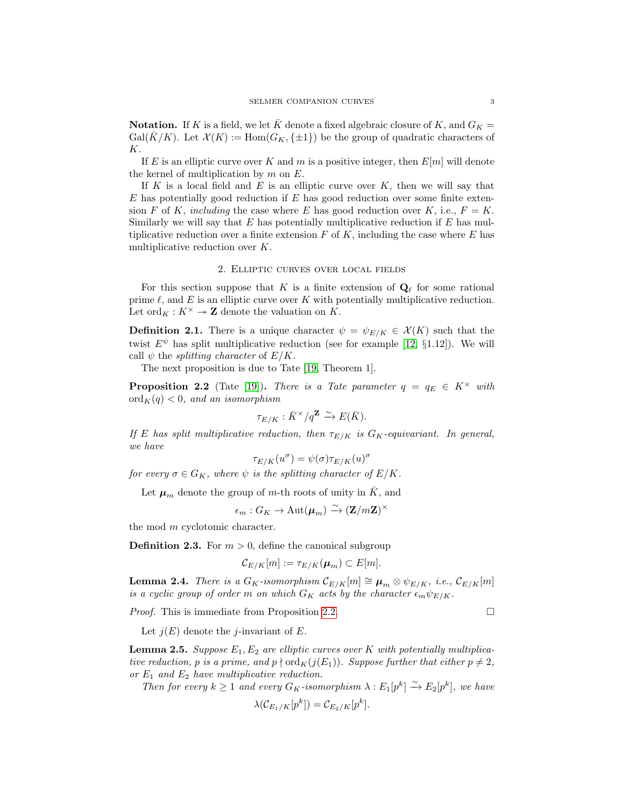**Notation.** If K is a field, we let K denote a fixed algebraic closure of K, and  $G_K =$  $Gal(\overline{K}/K)$ . Let  $\mathcal{X}(K) := Hom(G_K, \{\pm 1\})$  be the group of quadratic characters of K.

If E is an elliptic curve over K and m is a positive integer, then  $E[m]$  will denote the kernel of multiplication by  $m$  on  $E$ .

If K is a local field and E is an elliptic curve over  $K$ , then we will say that  $E$  has potentially good reduction if  $E$  has good reduction over some finite extension F of K, including the case where E has good reduction over K, i.e.,  $F = K$ . Similarly we will say that  $E$  has potentially multiplicative reduction if  $E$  has multiplicative reduction over a finite extension  $F$  of  $K$ , including the case where  $E$  has multiplicative reduction over K.

## 2. Elliptic curves over local fields

For this section suppose that K is a finite extension of  $\mathbf{Q}_{\ell}$  for some rational prime  $\ell$ , and  $E$  is an elliptic curve over  $K$  with potentially multiplicative reduction. Let  $\text{ord}_K : K^\times \to \mathbf{Z}$  denote the valuation on K.

**Definition 2.1.** There is a unique character  $\psi = \psi_{E/K} \in \mathcal{X}(K)$  such that the twist  $E^{\psi}$  has split multiplicative reduction (see for example [\[12,](#page-19-2) §1.12]). We will call  $\psi$  the *splitting character* of  $E/K$ .

The next proposition is due to Tate [\[19,](#page-19-3) Theorem 1].

<span id="page-2-0"></span>**Proposition 2.2** (Tate [\[19\]](#page-19-3)). There is a Tate parameter  $q = q_E \in K^\times$  with  $\mathrm{ord}_K(q) < 0$ , and an isomorphism

$$
\tau_{E/K} : \bar{K}^\times / q^{\mathbf{Z}} \xrightarrow{\sim} E(\bar{K}).
$$

If E has split multiplicative reduction, then  $\tau_{E/K}$  is  $G_K$ -equivariant. In general, we have

$$
\tau_{E/K}(u^{\sigma}) = \psi(\sigma) \tau_{E/K}(u)^{\sigma}
$$

for every  $\sigma \in G_K$ , where  $\psi$  is the splitting character of  $E/K$ .

Let  $\mu_m$  denote the group of m-th roots of unity in  $\overline{K}$ , and

$$
\epsilon_m: G_K \to \mathrm{Aut}(\boldsymbol{\mu}_m) \xrightarrow{\sim} (\mathbf{Z}/m\mathbf{Z})^{\times}
$$

the mod m cyclotomic character.

**Definition 2.3.** For  $m > 0$ , define the canonical subgroup

$$
\mathcal{C}_{E/K}[m] := \tau_{E/K}(\boldsymbol{\mu}_m) \subset E[m].
$$

<span id="page-2-1"></span>**Lemma 2.4.** There is a  $G_K$ -isomorphism  $\mathcal{C}_{E/K}[m] \cong \mu_m \otimes \psi_{E/K}$ , i.e.,  $\mathcal{C}_{E/K}[m]$ is a cyclic group of order m on which  $G_K$  acts by the character  $\epsilon_m \psi_{E/K}$ .

*Proof.* This is immediate from Proposition [2.2.](#page-2-0)

Let  $j(E)$  denote the j-invariant of E.

<span id="page-2-2"></span>**Lemma 2.5.** Suppose  $E_1, E_2$  are elliptic curves over K with potentially multiplicative reduction, p is a prime, and  $p \nmid \text{ord}_K(j(E_1))$ . Suppose further that either  $p \neq 2$ , or  $E_1$  and  $E_2$  have multiplicative reduction.

Then for every  $k \geq 1$  and every  $G_K$ -isomorphism  $\lambda : E_1[p^k] \xrightarrow{\sim} E_2[p^k]$ , we have

$$
\lambda(\mathcal{C}_{E_1/K}[p^k]) = \mathcal{C}_{E_2/K}[p^k].
$$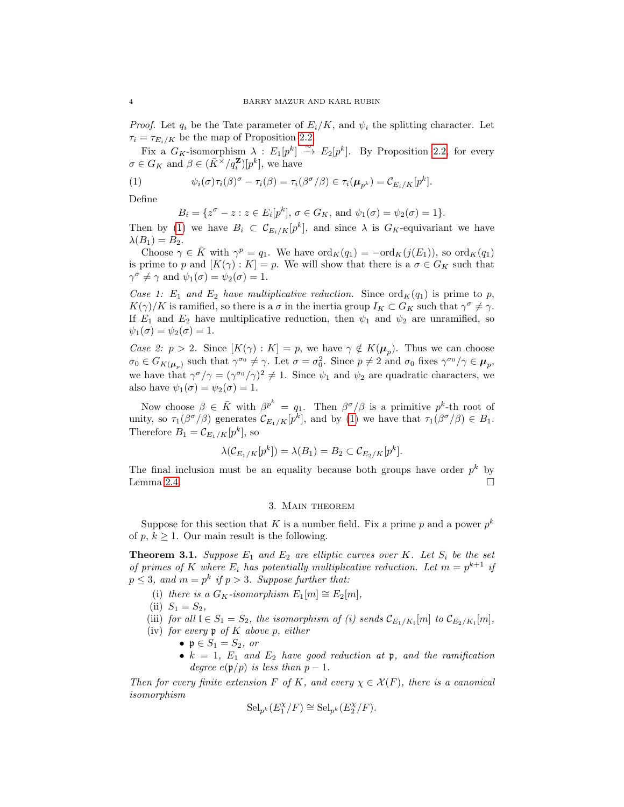*Proof.* Let  $q_i$  be the Tate parameter of  $E_i/K$ , and  $\psi_i$  the splitting character. Let  $\tau_i = \tau_{E_i/K}$  be the map of Proposition [2.2.](#page-2-0)

Fix a  $G_K$ -isomorphism  $\lambda : E_1[p^k] \rightarrow E_2[p^k]$ . By Proposition [2.2,](#page-2-0) for every  $\sigma \in G_K$  and  $\beta \in (\bar{K}^{\times}/q_i^{\mathbf{Z}})[p^k]$ , we have

(1) 
$$
\psi_i(\sigma)\tau_i(\beta)^{\sigma} - \tau_i(\beta) = \tau_i(\beta^{\sigma}/\beta) \in \tau_i(\boldsymbol{\mu}_{p^k}) = \mathcal{C}_{E_i/K}[p^k].
$$

Define

<span id="page-3-1"></span>
$$
B_i = \{ z^{\sigma} - z : z \in E_i[p^k], \sigma \in G_K, \text{ and } \psi_1(\sigma) = \psi_2(\sigma) = 1 \}.
$$

Then by [\(1\)](#page-3-1) we have  $B_i \subset \mathcal{C}_{E_i/K}[p^k]$ , and since  $\lambda$  is  $G_K$ -equivariant we have  $\lambda(B_1)=B_2.$ 

Choose  $\gamma \in \overline{K}$  with  $\gamma^{p} = q_{1}$ . We have  $\text{ord}_{K}(q_{1}) = -\text{ord}_{K}(j(E_{1})),$  so  $\text{ord}_{K}(q_{1})$ is prime to p and  $[K(\gamma): K] = p$ . We will show that there is a  $\sigma \in G_K$  such that  $\gamma^{\sigma} \neq \gamma$  and  $\psi_1(\sigma) = \psi_2(\sigma) = 1$ .

Case 1:  $E_1$  and  $E_2$  have multiplicative reduction. Since  $\text{ord}_K(q_1)$  is prime to p,  $K(\gamma)/K$  is ramified, so there is a  $\sigma$  in the inertia group  $I_K \subset G_K$  such that  $\gamma^{\sigma} \neq \gamma$ . If  $E_1$  and  $E_2$  have multiplicative reduction, then  $\psi_1$  and  $\psi_2$  are unramified, so  $\psi_1(\sigma) = \psi_2(\sigma) = 1.$ 

Case 2:  $p > 2$ . Since  $[K(\gamma) : K] = p$ , we have  $\gamma \notin K(\mu_p)$ . Thus we can choose  $\sigma_0 \in G_{K(\mu_p)}$  such that  $\gamma^{\sigma_0} \neq \gamma$ . Let  $\sigma = \sigma_0^2$ . Since  $p \neq 2$  and  $\sigma_0$  fixes  $\gamma^{\sigma_0}/\gamma \in \mu_p$ , we have that  $\gamma^{\sigma}/\gamma = (\gamma^{\sigma_0}/\gamma)^2 \neq 1$ . Since  $\psi_1$  and  $\psi_2$  are quadratic characters, we also have  $\psi_1(\sigma) = \psi_2(\sigma) = 1$ .

Now choose  $\beta \in \bar{K}$  with  $\beta^{p^k} = q_1$ . Then  $\beta^{\sigma}/\beta$  is a primitive  $p^k$ -th root of unity, so  $\tau_1(\beta^{\sigma}/\beta)$  generates  $\mathcal{C}_{E_1/K}[p^k]$ , and by [\(1\)](#page-3-1) we have that  $\tau_1(\beta^{\sigma}/\beta) \in B_1$ . Therefore  $B_1 = \mathcal{C}_{E_1/K}[p^k]$ , so

$$
\lambda(\mathcal{C}_{E_1/K}[p^k]) = \lambda(B_1) = B_2 \subset \mathcal{C}_{E_2/K}[p^k].
$$

The final inclusion must be an equality because both groups have order  $p^k$  by Lemma [2.4.](#page-2-1)  $\Box$ 

# 3. Main theorem

Suppose for this section that K is a number field. Fix a prime p and a power  $p^k$ of  $p, k \geq 1$ . Our main result is the following.

<span id="page-3-0"></span>**Theorem 3.1.** Suppose  $E_1$  and  $E_2$  are elliptic curves over K. Let  $S_i$  be the set of primes of K where  $E_i$  has potentially multiplicative reduction. Let  $m = p^{k+1}$  if  $p \leq 3$ , and  $m = p^k$  if  $p > 3$ . Suppose further that:

- (i) there is a  $G_K$ -isomorphism  $E_1[m] \cong E_2[m]$ ,
- (ii)  $S_1 = S_2$ ,
- (iii) for all  $\mathfrak{l} \in S_1 = S_2$ , the isomorphism of (i) sends  $\mathcal{C}_{E_1/K_1}[m]$  to  $\mathcal{C}_{E_2/K_1}[m]$ ,
- (iv) for every  $\mathfrak p$  of K above p, either
	- $\mathfrak{p} \in S_1 = S_2$ , or
	- $k = 1$ ,  $E_1$  and  $E_2$  have good reduction at p, and the ramification degree  $e(\mathfrak{p}/p)$  is less than  $p-1$ .

Then for every finite extension F of K, and every  $\chi \in \mathcal{X}(F)$ , there is a canonical isomorphism

$$
\mathrm{Sel}_{p^k}(E_1^{\chi}/F) \cong \mathrm{Sel}_{p^k}(E_2^{\chi}/F).
$$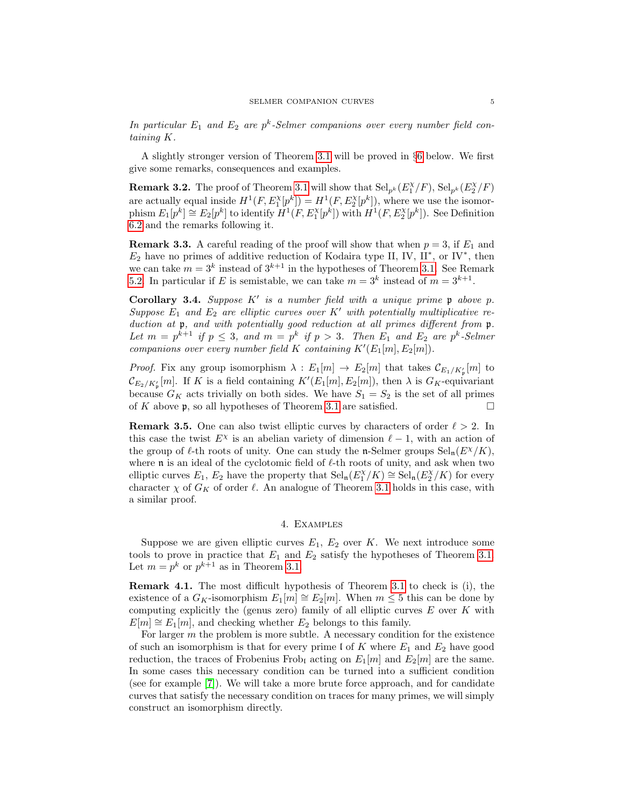In particular  $E_1$  and  $E_2$  are  $p^k$ -Selmer companions over every number field containing K.

A slightly stronger version of Theorem [3.1](#page-3-0) will be proved in §[6](#page-10-1) below. We first give some remarks, consequences and examples.

**Remark 3.2.** The proof of Theorem [3.1](#page-3-0) will show that  $\text{Sel}_{p^k}(E_1^{\chi}/F)$ ,  $\text{Sel}_{p^k}(E_2^{\chi}/F)$ are actually equal inside  $H^1(F, E_1^{\chi}[p^k]) = H^1(F, E_2^{\chi}[p^k])$ , where we use the isomorphism  $E_1[p^k] \cong E_2[p^k]$  to identify  $H^1(F, E_1^{\chi}[p^k])$  with  $H^1(F, E_2^{\chi}[p^k])$ . See Definition [6.2](#page-10-0) and the remarks following it.

<span id="page-4-1"></span>**Remark 3.3.** A careful reading of the proof will show that when  $p = 3$ , if  $E_1$  and  $E_2$  have no primes of additive reduction of Kodaira type II, IV, II<sup>\*</sup>, or IV<sup>\*</sup>, then we can take  $m = 3^k$  instead of  $3^{k+1}$  in the hypotheses of Theorem [3.1.](#page-3-0) See Remark [5.2.](#page-6-0) In particular if E is semistable, we can take  $m = 3^k$  instead of  $m = 3^{k+1}$ .

Corollary 3.4. Suppose  $K'$  is a number field with a unique prime  $p$  above  $p$ . Suppose  $E_1$  and  $E_2$  are elliptic curves over K' with potentially multiplicative reduction at  $\mathfrak p$ , and with potentially good reduction at all primes different from  $\mathfrak p$ . Let  $m = p^{k+1}$  if  $p \leq 3$ , and  $m = p^k$  if  $p > 3$ . Then  $E_1$  and  $E_2$  are  $p^k$ -Selmer companions over every number field K containing  $K'(E_1[m], E_2[m])$ .

*Proof.* Fix any group isomorphism  $\lambda : E_1[m] \to E_2[m]$  that takes  $\mathcal{C}_{E_1/K'_p}[m]$  to  $\mathcal{C}_{E_2/K'_p}[m]$ . If K is a field containing  $K'(E_1[m], E_2[m])$ , then  $\lambda$  is  $G_K$ -equivariant because  $G_K$  acts trivially on both sides. We have  $S_1 = S_2$  is the set of all primes of K above  $\mathfrak{p}$ , so all hypotheses of Theorem [3.1](#page-3-0) are satisfied.  $\square$ 

**Remark 3.5.** One can also twist elliptic curves by characters of order  $\ell > 2$ . In this case the twist  $E^{\chi}$  is an abelian variety of dimension  $\ell - 1$ , with an action of the group of  $\ell$ -th roots of unity. One can study the n-Selmer groups  $Sel_n(E^{\chi}/K)$ , where  $\mathfrak n$  is an ideal of the cyclotomic field of  $\ell$ -th roots of unity, and ask when two elliptic curves  $E_1, E_2$  have the property that  $\text{Sel}_{n}(E_1^{\chi}/K) \cong \text{Sel}_{n}(E_2^{\chi}/K)$  for every character  $\chi$  of  $G_K$  of order  $\ell$ . An analogue of Theorem [3.1](#page-3-0) holds in this case, with a similar proof.

## 4. Examples

<span id="page-4-0"></span>Suppose we are given elliptic curves  $E_1, E_2$  over K. We next introduce some tools to prove in practice that  $E_1$  and  $E_2$  satisfy the hypotheses of Theorem [3.1.](#page-3-0) Let  $m = p^k$  or  $p^{k+1}$  as in Theorem [3.1.](#page-3-0)

Remark 4.1. The most difficult hypothesis of Theorem [3.1](#page-3-0) to check is (i), the existence of a  $G_K$ -isomorphism  $E_1[m] \cong E_2[m]$ . When  $m \leq 5$  this can be done by computing explicitly the (genus zero) family of all elliptic curves  $E$  over  $K$  with  $E[m] \cong E_1[m]$ , and checking whether  $E_2$  belongs to this family.

For larger  $m$  the problem is more subtle. A necessary condition for the existence of such an isomorphism is that for every prime l of K where  $E_1$  and  $E_2$  have good reduction, the traces of Frobenius Frob<sub>l</sub> acting on  $E_1[m]$  and  $E_2[m]$  are the same. In some cases this necessary condition can be turned into a sufficient condition (see for example [\[7\]](#page-18-5)). We will take a more brute force approach, and for candidate curves that satisfy the necessary condition on traces for many primes, we will simply construct an isomorphism directly.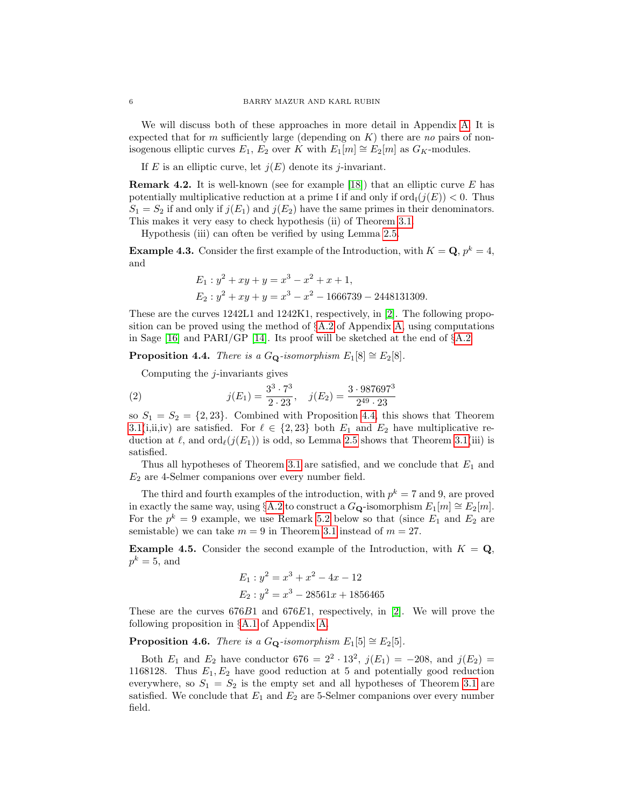We will discuss both of these approaches in more detail in Appendix [A.](#page-15-0) It is expected that for m sufficiently large (depending on  $K$ ) there are no pairs of nonisogenous elliptic curves  $E_1, E_2$  over K with  $E_1[m] \cong E_2[m]$  as  $G_K$ -modules.

If E is an elliptic curve, let  $j(E)$  denote its j-invariant.

**Remark 4.2.** It is well-known (see for example [\[18\]](#page-19-4)) that an elliptic curve  $E$  has potentially multiplicative reduction at a prime l if and only if  $\text{ord}_{\mathfrak{l}}(j(E)) < 0$ . Thus  $S_1 = S_2$  if and only if  $j(E_1)$  and  $j(E_2)$  have the same primes in their denominators. This makes it very easy to check hypothesis (ii) of Theorem [3.1.](#page-3-0)

Hypothesis (iii) can often be verified by using Lemma [2.5.](#page-2-2)

<span id="page-5-3"></span>**Example 4.3.** Consider the first example of the Introduction, with  $K = \mathbf{Q}, p^k = 4$ , and

$$
E_1: y^2 + xy + y = x^3 - x^2 + x + 1,
$$
  
\n
$$
E_2: y^2 + xy + y = x^3 - x^2 - 1666739 - 2448131309.
$$

These are the curves 1242L1 and 1242K1, respectively, in [\[2\]](#page-18-3). The following proposition can be proved using the method of  $\S$ [A.2](#page-16-0) of Appendix [A,](#page-15-0) using computations in Sage [\[16\]](#page-19-5) and PARI/GP [\[14\]](#page-19-6). Its proof will be sketched at the end of  $\S$ [A.2](#page-16-0)

<span id="page-5-0"></span>**Proposition 4.4.** There is a  $G_{\mathbf{Q}}$ -isomorphism  $E_1[8] \cong E_2[8]$ .

Computing the  $j$ -invariants gives

(2) 
$$
j(E_1) = \frac{3^3 \cdot 7^3}{2 \cdot 23}, \quad j(E_2) = \frac{3 \cdot 987697^3}{2^{49} \cdot 23}
$$

so  $S_1 = S_2 = \{2, 23\}$ . Combined with Proposition [4.4,](#page-5-0) this shows that Theorem [3.1\(](#page-3-0)i,ii,iv) are satisfied. For  $\ell \in \{2, 23\}$  both  $E_1$  and  $E_2$  have multiplicative reduction at  $\ell$ , and  $\text{ord}_{\ell}(j(E_1))$  is odd, so Lemma [2.5](#page-2-2) shows that Theorem [3.1\(](#page-3-0)iii) is satisfied.

Thus all hypotheses of Theorem [3.1](#page-3-0) are satisfied, and we conclude that  $E_1$  and  $E_2$  are 4-Selmer companions over every number field.

The third and fourth examples of the introduction, with  $p^k = 7$  and 9, are proved in exactly the same way, using §[A.2](#page-16-0) to construct a  $G_{\mathbf{Q}}$ -isomorphism  $E_1[m] \cong E_2[m]$ . For the  $p^k = 9$  example, we use Remark [5.2](#page-6-0) below so that (since  $E_1$  and  $E_2$  are semistable) we can take  $m = 9$  in Theorem [3.1](#page-3-0) instead of  $m = 27$ .

<span id="page-5-1"></span>**Example 4.5.** Consider the second example of the Introduction, with  $K = Q$ ,  $p^k = 5$ , and

$$
E_1: y^2 = x^3 + x^2 - 4x - 12
$$
  

$$
E_2: y^2 = x^3 - 28561x + 1856465
$$

These are the curves  $676B1$  and  $676E1$ , respectively, in [\[2\]](#page-18-3). We will prove the following proposition in §[A.1](#page-15-1) of Appendix [A.](#page-15-0)

<span id="page-5-2"></span>**Proposition 4.6.** There is a  $G_{\mathbf{Q}}$ -isomorphism  $E_1[5] \cong E_2[5]$ .

Both  $E_1$  and  $E_2$  have conductor  $676 = 2^2 \cdot 13^2$ ,  $j(E_1) = -208$ , and  $j(E_2) =$ 1168128. Thus  $E_1, E_2$  have good reduction at 5 and potentially good reduction everywhere, so  $S_1 = S_2$  is the empty set and all hypotheses of Theorem [3.1](#page-3-0) are satisfied. We conclude that  $E_1$  and  $E_2$  are 5-Selmer companions over every number field.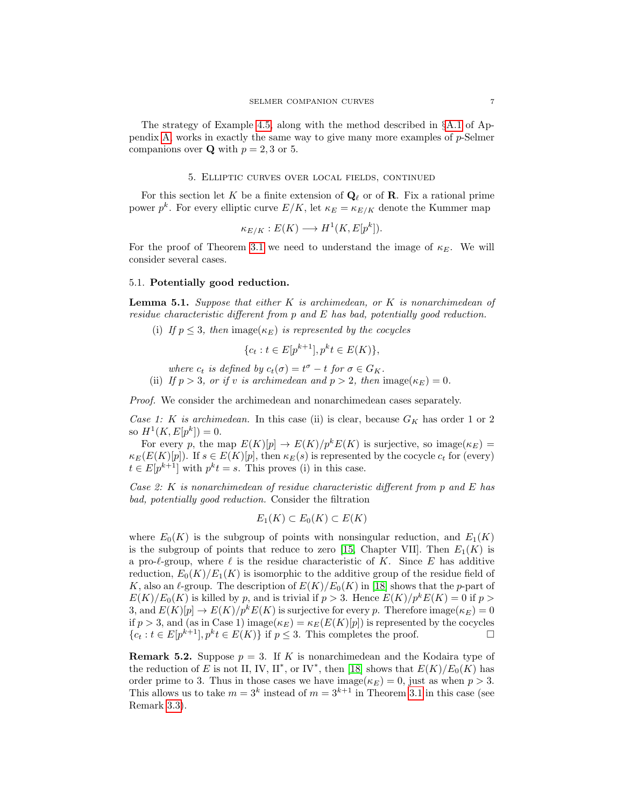The strategy of Example [4.5,](#page-5-1) along with the method described in §[A.1](#page-15-1) of Ap-pendix [A,](#page-15-0) works in exactly the same way to give many more examples of  $p$ -Selmer companions over **Q** with  $p = 2, 3$  or 5.

#### 5. Elliptic curves over local fields, continued

For this section let K be a finite extension of  $\mathbf{Q}_\ell$  or of **R**. Fix a rational prime power  $p^k$ . For every elliptic curve  $E/K$ , let  $\kappa_E = \kappa_{E/K}$  denote the Kummer map

$$
\kappa_{E/K}: E(K) \longrightarrow H^1(K, E[p^k]).
$$

For the proof of Theorem [3.1](#page-3-0) we need to understand the image of  $\kappa_E$ . We will consider several cases.

## 5.1. Potentially good reduction.

<span id="page-6-1"></span>**Lemma 5.1.** Suppose that either K is archimedean, or K is nonarchimedean of residue characteristic different from p and E has bad, potentially good reduction.

(i) If  $p \leq 3$ , then image( $\kappa_E$ ) is represented by the cocycles

$$
\{c_t : t \in E[p^{k+1}], p^k t \in E(K)\},\
$$

where  $c_t$  is defined by  $c_t(\sigma) = t^{\sigma} - t$  for  $\sigma \in G_K$ .

(ii) If  $p > 3$ , or if v is archimedean and  $p > 2$ , then image( $\kappa_E$ ) = 0.

Proof. We consider the archimedean and nonarchimedean cases separately.

Case 1: K is archimedean. In this case (ii) is clear, because  $G_K$  has order 1 or 2 so  $H^1(K, E[p^k]) = 0.$ 

For every p, the map  $E(K)[p] \to E(K)/p^k E(K)$  is surjective, so image( $\kappa_E$ ) =  $\kappa_E(E(K)[p])$ . If  $s \in E(K)[p]$ , then  $\kappa_E(s)$  is represented by the cocycle  $c_t$  for (every)  $t \in E[p^{k+1}]$  with  $p^k t = s$ . This proves (i) in this case.

Case 2: K is nonarchimedean of residue characteristic different from p and E has bad, potentially good reduction. Consider the filtration

$$
E_1(K) \subset E_0(K) \subset E(K)
$$

where  $E_0(K)$  is the subgroup of points with nonsingular reduction, and  $E_1(K)$ is the subgroup of points that reduce to zero [\[15,](#page-19-7) Chapter VII]. Then  $E_1(K)$  is a pro- $\ell$ -group, where  $\ell$  is the residue characteristic of K. Since E has additive reduction,  $E_0(K)/E_1(K)$  is isomorphic to the additive group of the residue field of K, also an  $\ell$ -group. The description of  $E(K)/E_0(K)$  in [\[18\]](#page-19-4) shows that the p-part of  $E(K)/E_0(K)$  is killed by p, and is trivial if  $p > 3$ . Hence  $E(K)/p^kE(K) = 0$  if  $p >$ 3, and  $E(K)[p] \to E(K)/p^k E(K)$  is surjective for every p. Therefore image $(\kappa_E) = 0$ if  $p > 3$ , and (as in Case 1) image( $\kappa_E$ ) =  $\kappa_E(E(K)[p])$  is represented by the cocycles  ${c_t : t \in E[p^{k+1}], p^k t \in E(K)}$  if  $p \leq 3$ . This completes the proof.

<span id="page-6-0"></span>**Remark 5.2.** Suppose  $p = 3$ . If K is nonarchimedean and the Kodaira type of the reduction of E is not II, IV, II<sup>\*</sup>, or IV<sup>\*</sup>, then [\[18\]](#page-19-4) shows that  $E(K)/E_0(K)$  has order prime to 3. Thus in those cases we have image( $\kappa_E$ ) = 0, just as when  $p > 3$ . This allows us to take  $m = 3^k$  instead of  $m = 3^{k+1}$  in Theorem [3.1](#page-3-0) in this case (see Remark [3.3\)](#page-4-1).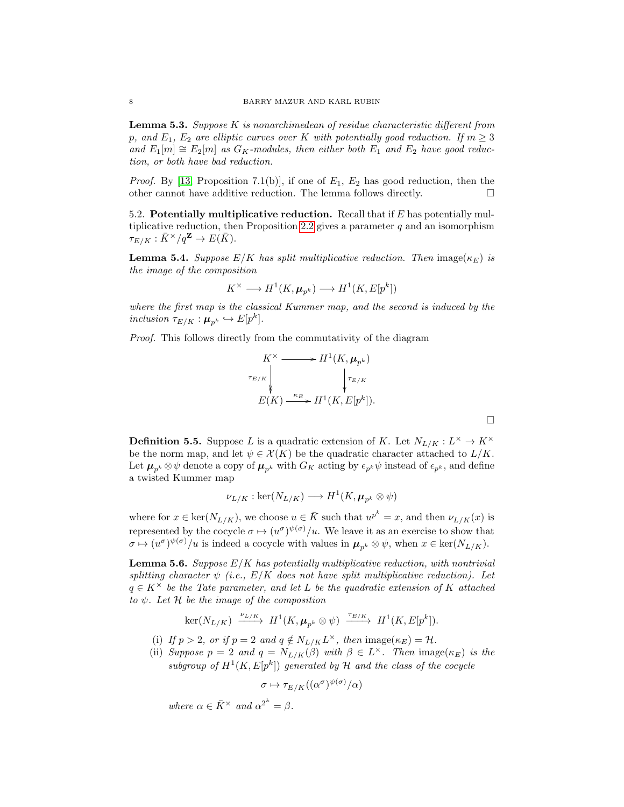<span id="page-7-0"></span>**Lemma 5.3.** Suppose K is nonarchimedean of residue characteristic different from p, and  $E_1$ ,  $E_2$  are elliptic curves over K with potentially good reduction. If  $m \geq 3$ and  $E_1[m] \cong E_2[m]$  as  $G_K$ -modules, then either both  $E_1$  and  $E_2$  have good reduction, or both have bad reduction.

*Proof.* By [\[13,](#page-19-8) Proposition 7.1(b)], if one of  $E_1$ ,  $E_2$  has good reduction, then the other cannot have additive reduction. The lemma follows directly.  $\Box$ 

5.2. Potentially multiplicative reduction. Recall that if  $E$  has potentially mul-tiplicative reduction, then Proposition [2.2](#page-2-0) gives a parameter  $q$  and an isomorphism  $\tau_{E/K}: \bar{K}^\times/q^{\mathbf{Z}} \to E(\bar{K}).$ 

<span id="page-7-1"></span>**Lemma 5.4.** Suppose  $E/K$  has split multiplicative reduction. Then image( $\kappa_E$ ) is the image of the composition

$$
K^{\times} \longrightarrow H^1(K, \mu_{p^k}) \longrightarrow H^1(K, E[p^k])
$$

where the first map is the classical Kummer map, and the second is induced by the inclusion  $\tau_{E/K}: \mu_{p^k} \hookrightarrow E[p^k].$ 

Proof. This follows directly from the commutativity of the diagram

$$
K^{\times} \longrightarrow H^{1}(K, \mu_{p^{k}})
$$
  
\n
$$
\downarrow_{\tau_{E/K}}
$$
  
\n
$$
E(K) \xrightarrow{\kappa_{E}} H^{1}(K, E[p^{k}]).
$$

**Definition 5.5.** Suppose L is a quadratic extension of K. Let  $N_{L/K}: L^{\times} \to K^{\times}$ be the norm map, and let  $\psi \in \mathcal{X}(K)$  be the quadratic character attached to  $L/K$ . Let  $\mu_{p^k} \otimes \psi$  denote a copy of  $\mu_{p^k}$  with  $G_K$  acting by  $\epsilon_{p^k} \psi$  instead of  $\epsilon_{p^k}$ , and define a twisted Kummer map

$$
\nu_{L/K} : \ker(N_{L/K}) \longrightarrow H^1(K, \mu_{p^k} \otimes \psi)
$$

where for  $x \in \text{ker}(N_{L/K})$ , we choose  $u \in \overline{K}$  such that  $u^{p^k} = x$ , and then  $\nu_{L/K}(x)$  is represented by the cocycle  $\sigma \mapsto (u^{\sigma})^{\psi(\sigma)}/u$ . We leave it as an exercise to show that  $\sigma \mapsto (u^{\sigma})^{\psi(\sigma)}/u$  is indeed a cocycle with values in  $\mu_{p^k} \otimes \psi$ , when  $x \in \text{ker}(N_{L/K})$ .

<span id="page-7-2"></span>**Lemma 5.6.** Suppose  $E/K$  has potentially multiplicative reduction, with nontrivial splitting character  $\psi$  (i.e.,  $E/K$  does not have split multiplicative reduction). Let  $q \in K^{\times}$  be the Tate parameter, and let L be the quadratic extension of K attached to  $\psi$ . Let  $\mathcal H$  be the image of the composition

$$
\ker(N_{L/K}) \xrightarrow{\nu_{L/K}} H^1(K, \mu_{p^k} \otimes \psi) \xrightarrow{\tau_{E/K}} H^1(K, E[p^k]).
$$

- (i) If  $p > 2$ , or if  $p = 2$  and  $q \notin N_{L/K}L^{\times}$ , then image $(\kappa_E) = \mathcal{H}$ .
- (ii) Suppose  $p = 2$  and  $q = N_{L/K}(\beta)$  with  $\beta \in L^{\times}$ . Then image( $\kappa_E$ ) is the subgroup of  $H^1(K, E[p^k])$  generated by H and the class of the cocycle

$$
\sigma\mapsto \tau_{E/K}((\alpha^\sigma)^{\psi(\sigma)}/\alpha)
$$

where  $\alpha \in \overline{K}^{\times}$  and  $\alpha^{2^{k}} = \beta$ .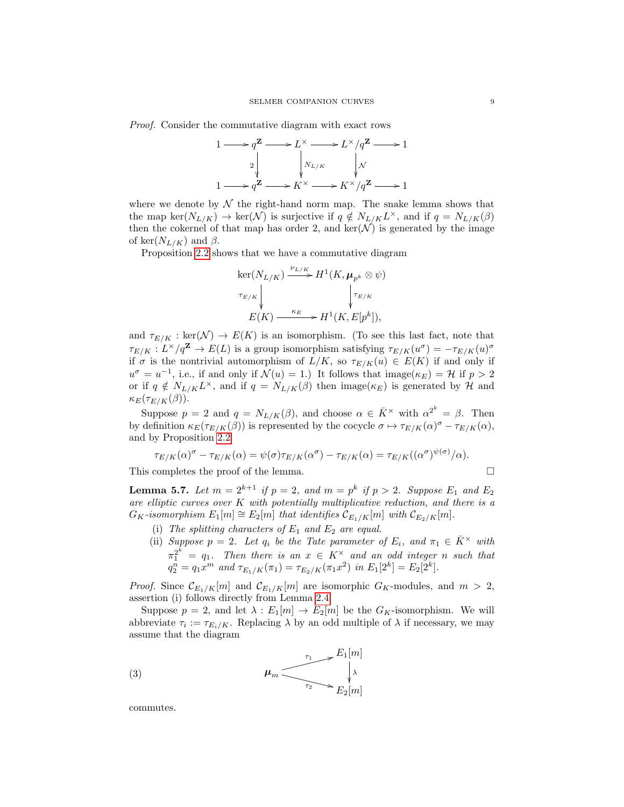Proof. Consider the commutative diagram with exact rows



where we denote by  $\mathcal N$  the right-hand norm map. The snake lemma shows that the map ker $(N_{L/K}) \to \text{ker}(\mathcal{N})$  is surjective if  $q \notin N_{L/K}L^{\times}$ , and if  $q = N_{L/K}(\beta)$ then the cokernel of that map has order 2, and  $\ker(\mathcal{N})$  is generated by the image of ker $(N_{L/K})$  and  $\beta$ .

Proposition [2.2](#page-2-0) shows that we have a commutative diagram

$$
\begin{aligned}\n\ker(N_{L/K}) & \xrightarrow{\nu_{L/K}} H^1(K, \mu_{p^k} \otimes \psi) \\
\downarrow^{\tau_{E/K}} & \downarrow^{\tau_{E/K}} \\
E(K) & \xrightarrow{\kappa_E} H^1(K, E[p^k]),\n\end{aligned}
$$

and  $\tau_{E/K}: \text{ker}(\mathcal{N}) \to E(K)$  is an isomorphism. (To see this last fact, note that  $\tau_{E/K}: L^{\times}/q^{\mathbf{Z}} \to E(L)$  is a group isomorphism satisfying  $\tau_{E/K}(u^{\sigma}) = -\tau_{E/K}(u)^{\sigma}$ if  $\sigma$  is the nontrivial automorphism of  $L/K$ , so  $\tau_{E/K}(u) \in E(K)$  if and only if  $u^{\sigma} = u^{-1}$ , i.e., if and only if  $\mathcal{N}(u) = 1$ .) It follows that image( $\kappa_E$ ) = H if  $p > 2$ or if  $q \notin N_{L/K}L^{\times}$ , and if  $q = N_{L/K}(\beta)$  then image( $\kappa_E$ ) is generated by H and  $\kappa_E(\tau_{E/K}(\beta)).$ 

Suppose  $p = 2$  and  $q = N_{L/K}(\beta)$ , and choose  $\alpha \in \overline{K}^{\times}$  with  $\alpha^{2^{k}} = \beta$ . Then by definition  $\kappa_E(\tau_{E/K}(\beta))$  is represented by the cocycle  $\sigma \mapsto \tau_{E/K}(\alpha)^{\sigma} - \tau_{E/K}(\alpha)$ , and by Proposition [2.2](#page-2-0)

$$
\tau_{E/K}(\alpha)^{\sigma} - \tau_{E/K}(\alpha) = \psi(\sigma) \tau_{E/K}(\alpha^{\sigma}) - \tau_{E/K}(\alpha) = \tau_{E/K}((\alpha^{\sigma})^{\psi(\sigma)}/\alpha).
$$

This completes the proof of the lemma.

<span id="page-8-1"></span>**Lemma 5.7.** Let 
$$
m = 2^{k+1}
$$
 if  $p = 2$ , and  $m = p^k$  if  $p > 2$ . Suppose  $E_1$  and  $E_2$  are elliptic curves over K with potentially multiplicative reduction, and there is a  $G_K$ -isomorphism  $E_1[m] \cong E_2[m]$  that identifies  $C_{E_1/K}[m]$  with  $C_{E_2/K}[m]$ .

- (i) The splitting characters of  $E_1$  and  $E_2$  are equal.
- (ii) Suppose  $p = 2$ . Let  $q_i$  be the Tate parameter of  $E_i$ , and  $\pi_1 \in \overline{K}^{\times}$  with  $\pi_1^{2^k} = q_1$ . Then there is an  $x \in K^\times$  and an odd integer n such that  $q_2^n = q_1 x^m$  and  $\tau_{E_1/K}(\pi_1) = \tau_{E_2/K}(\pi_1 x^2)$  in  $E_1[2^k] = E_2[2^k]$ .

*Proof.* Since  $\mathcal{C}_{E_1/K}[m]$  and  $\mathcal{C}_{E_1/K}[m]$  are isomorphic  $G_K$ -modules, and  $m > 2$ , assertion (i) follows directly from Lemma [2.4.](#page-2-1)

Suppose  $p = 2$ , and let  $\lambda : E_1[m] \to E_2[m]$  be the  $G_K$ -isomorphism. We will abbreviate  $\tau_i := \tau_{E_i/K}$ . Replacing  $\lambda$  by an odd multiple of  $\lambda$  if necessary, we may assume that the diagram

<span id="page-8-0"></span>(3) 
$$
\mu_m \underbrace{\phantom{1257}}_{\tau_2} + \underbrace{E_1[m]}_{E_2[m]}
$$

commutes.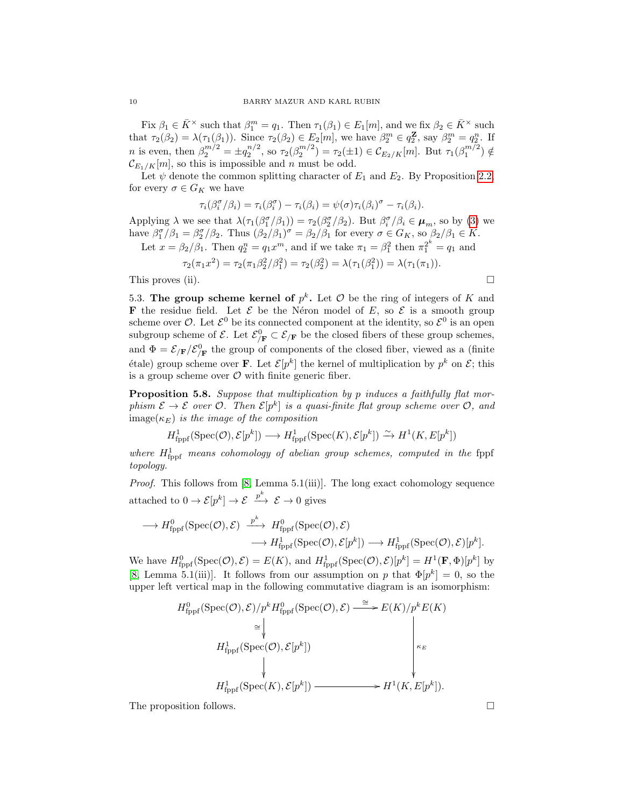Fix  $\beta_1 \in \bar{K}^\times$  such that  $\beta_1^m = q_1$ . Then  $\tau_1(\beta_1) \in E_1[m]$ , and we fix  $\beta_2 \in \bar{K}^\times$  such that  $\tau_2(\beta_2) = \lambda(\tau_1(\beta_1))$ . Since  $\tau_2(\beta_2) \in E_2[m]$ , we have  $\beta_2^m \in q_2^{\mathbf{Z}}$ , say  $\beta_2^m = q_2^n$ . If *n* is even, then  $\beta_2^{m/2} = \pm q_2^{n/2}$ , so  $\tau_2(\beta_2^{m/2}) = \tau_2(\pm 1) \in C_{E_2/K}[m]$ . But  $\tau_1(\beta_1^{m/2}) \notin$  $\mathcal{C}_{E_1/K}[m]$ , so this is impossible and n must be odd.

Let  $\psi$  denote the common splitting character of  $E_1$  and  $E_2$ . By Proposition [2.2,](#page-2-0) for every  $\sigma \in G_K$  we have

$$
\tau_i(\beta_i^{\sigma}/\beta_i) = \tau_i(\beta_i^{\sigma}) - \tau_i(\beta_i) = \psi(\sigma)\tau_i(\beta_i)^{\sigma} - \tau_i(\beta_i).
$$

Applying  $\lambda$  we see that  $\lambda(\tau_1(\beta_1^{\sigma}/\beta_1)) = \tau_2(\beta_2^{\sigma}/\beta_2)$ . But  $\beta_i^{\sigma}/\beta_i \in \mu_m$ , so by [\(3\)](#page-8-0) we have  $\beta_1^{\sigma}/\beta_1 = \beta_2^{\sigma}/\beta_2$ . Thus  $(\beta_2/\beta_1)^{\sigma} = \beta_2/\beta_1$  for every  $\sigma \in G_K$ , so  $\beta_2/\beta_1 \in K$ .

Let 
$$
x = \beta_2/\beta_1
$$
. Then  $q_2^n = q_1 x^m$ , and if we take  $\pi_1 = \beta_1^2$  then  $\pi_1^{2^k} = q_1$  and

$$
\tau_2(\pi_1 x^2) = \tau_2(\pi_1 \beta_2^2/\beta_1^2) = \tau_2(\beta_2^2) = \lambda(\tau_1(\beta_1^2)) = \lambda(\tau_1(\pi_1)).
$$
  
This proves (ii).

5.3. The group scheme kernel of  $p^k$ . Let  $\mathcal O$  be the ring of integers of K and **F** the residue field. Let  $\mathcal{E}$  be the Néron model of E, so  $\mathcal{E}$  is a smooth group scheme over  $\mathcal{O}$ . Let  $\mathcal{E}^0$  be its connected component at the identity, so  $\mathcal{E}^0$  is an open subgroup scheme of  $\mathcal{E}$ . Let  $\mathcal{E}_{/\mathbf{F}}^0 \subset \mathcal{E}_{/\mathbf{F}}$  be the closed fibers of these group schemes, and  $\Phi = \mathcal{E}_{F}/\mathcal{E}_{F}^{0}$  the group of components of the closed fiber, viewed as a (finite étale) group scheme over **F**. Let  $\mathcal{E}[p^k]$  the kernel of multiplication by  $p^k$  on  $\mathcal{E}$ ; this is a group scheme over  $\mathcal O$  with finite generic fiber.

<span id="page-9-0"></span>Proposition 5.8. Suppose that multiplication by p induces a faithfully flat morphism  $\mathcal{E} \to \mathcal{E}$  over  $\mathcal{O}$ . Then  $\mathcal{E}[p^k]$  is a quasi-finite flat group scheme over  $\mathcal{O}$ , and  $\text{image}(\kappa_E)$  is the image of the composition

$$
H^1_{\text{fppf}}(\text{Spec}(\mathcal{O}), \mathcal{E}[p^k]) \longrightarrow H^1_{\text{fppf}}(\text{Spec}(K), \mathcal{E}[p^k]) \xrightarrow{\sim} H^1(K, E[p^k])
$$

where  $H_{\text{fppf}}^1$  means cohomology of abelian group schemes, computed in the fppf topology.

Proof. This follows from [\[8,](#page-18-6) Lemma 5.1(iii)]. The long exact cohomology sequence attached to  $0 \to \mathcal{E}[p^k] \to \mathcal{E} \stackrel{p^k}{\longrightarrow} \mathcal{E} \to 0$  gives

$$
\longrightarrow H_{\text{fppf}}^{0}(\text{Spec}(\mathcal{O}), \mathcal{E}) \stackrel{p^{k}}{\longrightarrow} H_{\text{fppf}}^{0}(\text{Spec}(\mathcal{O}), \mathcal{E})
$$

$$
\longrightarrow H_{\text{fppf}}^{1}(\text{Spec}(\mathcal{O}), \mathcal{E}[p^{k}]) \longrightarrow H_{\text{fppf}}^{1}(\text{Spec}(\mathcal{O}), \mathcal{E})[p^{k}].
$$

We have  $H^0_{\text{fppf}}(\text{Spec}(\mathcal{O}), \mathcal{E}) = E(K)$ , and  $H^1_{\text{fppf}}(\text{Spec}(\mathcal{O}), \mathcal{E})[p^k] = H^1(\mathbf{F}, \Phi)[p^k]$  by [\[8,](#page-18-6) Lemma 5.1(iii)]. It follows from our assumption on p that  $\Phi[p^k] = 0$ , so the upper left vertical map in the following commutative diagram is an isomorphism:

$$
H_{\text{fppf}}^{0}(\text{Spec}(\mathcal{O}), \mathcal{E})/p^{k} H_{\text{fppf}}^{0}(\text{Spec}(\mathcal{O}), \mathcal{E}) \xrightarrow{\cong} E(K)/p^{k} E(K)
$$
  
\n
$$
\cong \downarrow \qquad \qquad \downarrow
$$
  
\n
$$
H_{\text{fppf}}^{1}(\text{Spec}(\mathcal{O}), \mathcal{E}[p^{k}]) \xrightarrow{\qquad \qquad \downarrow}
$$
  
\n
$$
H_{\text{fppf}}^{1}(\text{Spec}(K), \mathcal{E}[p^{k}]) \xrightarrow{\qquad \qquad \downarrow} H^{1}(K, E[p^{k}]).
$$

The proposition follows.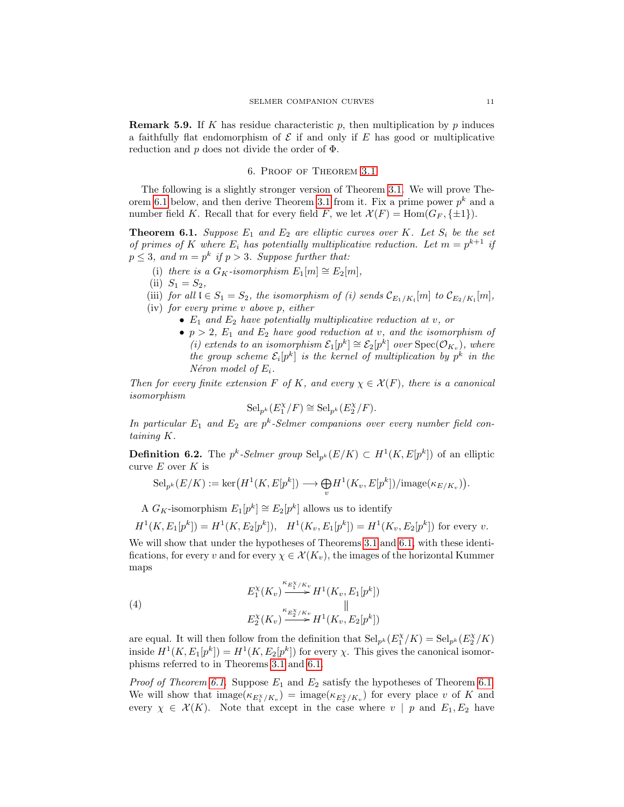**Remark 5.9.** If K has residue characteristic p, then multiplication by p induces a faithfully flat endomorphism of  $\mathcal E$  if and only if  $E$  has good or multiplicative reduction and  $p$  does not divide the order of  $\Phi$ .

# 6. Proof of Theorem [3.1](#page-3-0)

<span id="page-10-1"></span>The following is a slightly stronger version of Theorem [3.1.](#page-3-0) We will prove The-orem [6.1](#page-10-2) below, and then derive Theorem [3.1](#page-3-0) from it. Fix a prime power  $p^k$  and a number field K. Recall that for every field F, we let  $\mathcal{X}(F) = \text{Hom}(G_F, \{\pm 1\}).$ 

<span id="page-10-2"></span>**Theorem 6.1.** Suppose  $E_1$  and  $E_2$  are elliptic curves over K. Let  $S_i$  be the set of primes of K where  $E_i$  has potentially multiplicative reduction. Let  $m = p^{k+1}$  if  $p \leq 3$ , and  $m = p^k$  if  $p > 3$ . Suppose further that:

- (i) there is a  $G_K$ -isomorphism  $E_1[m] \cong E_2[m]$ ,
- (ii)  $S_1 = S_2$ ,

(iii) for all  $\mathfrak{l} \in S_1 = S_2$ , the isomorphism of (i) sends  $\mathcal{C}_{E_1/K_1}[m]$  to  $\mathcal{C}_{E_2/K_1}[m]$ ,

- (iv) for every prime v above p, either
	- $E_1$  and  $E_2$  have potentially multiplicative reduction at v, or
	- $p > 2$ ,  $E_1$  and  $E_2$  have good reduction at v, and the isomorphism of (i) extends to an isomorphism  $\mathcal{E}_1[p^k] \cong \mathcal{E}_2[p^k]$  over  $\text{Spec}(\mathcal{O}_{K_v})$ , where the group scheme  $\mathcal{E}_i[p^k]$  is the kernel of multiplication by  $p^k$  in the Néron model of  $E_i$ .

Then for every finite extension F of K, and every  $\chi \in \mathcal{X}(F)$ , there is a canonical isomorphism

$$
\mathrm{Sel}_{p^k}(E_1^{\chi}/F) \cong \mathrm{Sel}_{p^k}(E_2^{\chi}/F).
$$

In particular  $E_1$  and  $E_2$  are  $p^k$ -Selmer companions over every number field containing K.

<span id="page-10-0"></span>**Definition 6.2.** The  $p^k$ -Selmer group  $\text{Sel}_{p^k}(E/K) \subset H^1(K, E[p^k])$  of an elliptic curve  $E$  over  $K$  is

$$
\mathrm{Sel}_{p^k}(E/K) := \mathrm{ker}\left(H^1(K,E[p^k]) \longrightarrow \bigoplus_v H^1(K_v,E[p^k]) / \mathrm{image}(\kappa_{E/K_v})\right).
$$

A  $G_K$ -isomorphism  $E_1[p^k] \cong E_2[p^k]$  allows us to identify

$$
H^1(K, E_1[p^k]) = H^1(K, E_2[p^k]), \quad H^1(K_v, E_1[p^k]) = H^1(K_v, E_2[p^k])
$$
 for every  $v$ .

We will show that under the hypotheses of Theorems [3.1](#page-3-0) and [6.1,](#page-10-2) with these identifications, for every v and for every  $\chi \in \mathcal{X}(K_v)$ , the images of the horizontal Kummer maps

<span id="page-10-3"></span>(4) 
$$
E_1^{\chi}(K_v) \stackrel{\kappa_{E_1^{\chi}/K_v}}{\longrightarrow} H^1(K_v, E_1[p^k])
$$

$$
E_2^{\chi}(K_v) \stackrel{\kappa_{E_2^{\chi}/K_v}}{\longrightarrow} H^1(K_v, E_2[p^k])
$$

are equal. It will then follow from the definition that  $\text{Sel}_{p^k}(E_1^{\chi}/K) = \text{Sel}_{p^k}(E_2^{\chi}/K)$ inside  $H^1(K, E_1[p^k]) = H^1(K, E_2[p^k])$  for every  $\chi$ . This gives the canonical isomorphisms referred to in Theorems [3.1](#page-3-0) and [6.1.](#page-10-2)

*Proof of Theorem [6.1.](#page-10-2)* Suppose  $E_1$  and  $E_2$  satisfy the hypotheses of Theorem 6.1. We will show that  $\text{image}(\kappa_{E_1^X/K_v}) = \text{image}(\kappa_{E_2^X/K_v})$  for every place v of K and every  $\chi \in \mathcal{X}(K)$ . Note that except in the case where  $v | p$  and  $E_1, E_2$  have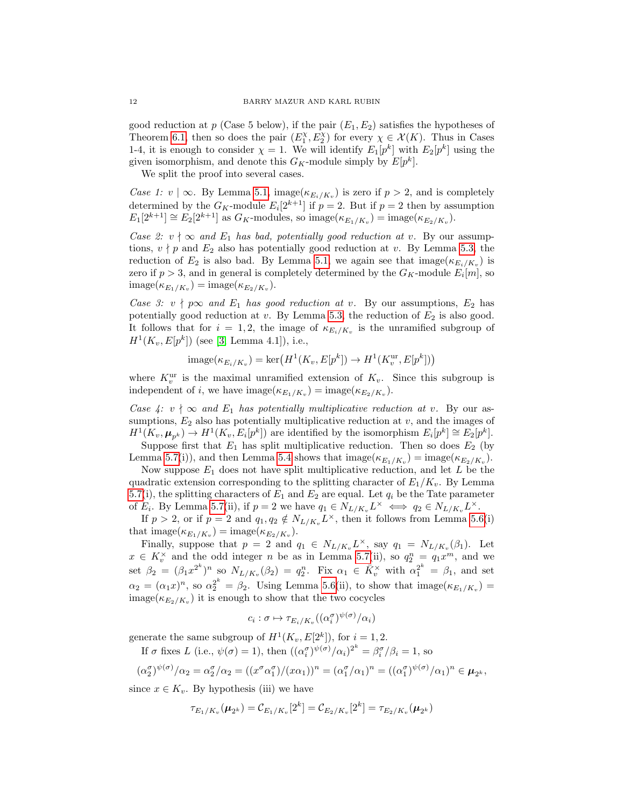good reduction at p (Case 5 below), if the pair  $(E_1, E_2)$  satisfies the hypotheses of Theorem [6.1,](#page-10-2) then so does the pair  $(E_1^{\chi}, E_2^{\chi})$  for every  $\chi \in \mathcal{X}(K)$ . Thus in Cases 1-4, it is enough to consider  $\chi = 1$ . We will identify  $E_1[p^k]$  with  $E_2[p^k]$  using the given isomorphism, and denote this  $G_K$ -module simply by  $E[p^k]$ .

We split the proof into several cases.

Case 1:  $v \mid \infty$ . By Lemma [5.1,](#page-6-1) image( $\kappa_{E_i/K_v}$ ) is zero if  $p > 2$ , and is completely determined by the  $G_K$ -module  $E_i[2^{k+1}]$  if  $p=2$ . But if  $p=2$  then by assumption  $E_1[2^{k+1}] \cong E_2[2^{k+1}]$  as  $G_K$ -modules, so image $(\kappa_{E_1/K_v})$  = image $(\kappa_{E_2/K_v})$ .

Case 2:  $v \nmid \infty$  and  $E_1$  has bad, potentially good reduction at v. By our assumptions,  $v \nmid p$  and  $E_2$  also has potentially good reduction at v. By Lemma [5.3,](#page-7-0) the reduction of  $E_2$  is also bad. By Lemma [5.1,](#page-6-1) we again see that  $\text{image}(\kappa_{E_i/K_v})$  is zero if  $p > 3$ , and in general is completely determined by the  $G_K$ -module  $E_i[m]$ , so  $\text{image}(\kappa_{E_1/K_v}) = \text{image}(\kappa_{E_2/K_v}).$ 

Case 3:  $v \nmid p\infty$  and  $E_1$  has good reduction at v. By our assumptions,  $E_2$  has potentially good reduction at v. By Lemma [5.3,](#page-7-0) the reduction of  $E_2$  is also good. It follows that for  $i = 1, 2$ , the image of  $\kappa_{E_i/K_v}$  is the unramified subgroup of  $H^1(K_v, E[p^k])$  (see [\[3,](#page-18-7) Lemma 4.1]), i.e.,

$$
image(\kappa_{E_i/K_v}) = \ker\left(H^1(K_v, E[p^k]) \to H^1(K_v^{\text{ur}}, E[p^k])\right)
$$

where  $K_v^{\text{ur}}$  is the maximal unramified extension of  $K_v$ . Since this subgroup is independent of *i*, we have  $\text{image}(\kappa_{E_1/K_v}) = \text{image}(\kappa_{E_2/K_v}).$ 

Case 4:  $v \nmid \infty$  and  $E_1$  has potentially multiplicative reduction at v. By our assumptions,  $E_2$  also has potentially multiplicative reduction at v, and the images of  $H^1(K_v, \mu_{p^k}) \to H^1(K_v, E_i[p^k])$  are identified by the isomorphism  $E_i[p^k] \cong E_2[p^k]$ .

Suppose first that  $E_1$  has split multiplicative reduction. Then so does  $E_2$  (by Lemma [5.7\(](#page-8-1)i)), and then Lemma [5.4](#page-7-1) shows that  $\text{image}(\kappa_{E_1/K_v}) = \text{image}(\kappa_{E_2/K_v})$ .

Now suppose  $E_1$  does not have split multiplicative reduction, and let L be the quadratic extension corresponding to the splitting character of  $E_1/K_v$ . By Lemma [5.7\(](#page-8-1)i), the splitting characters of  $E_1$  and  $E_2$  are equal. Let  $q_i$  be the Tate parameter of  $E_i$ . By Lemma [5.7\(](#page-8-1)ii), if  $p = 2$  we have  $q_1 \in N_{L/K_v} L^\times \iff q_2 \in N_{L/K_v} L^\times$ .

If  $p > 2$ , or if  $p = 2$  and  $q_1, q_2 \notin N_{L/K_v} L^{\times}$ , then it follows from Lemma [5.6\(](#page-7-2)i) that  $\text{image}(\kappa_{E_1/K_v}) = \text{image}(\kappa_{E_2/K_v}).$ 

Finally, suppose that  $p = 2$  and  $q_1 \in N_{L/K_v} L^{\times}$ , say  $q_1 = N_{L/K_v} (\beta_1)$ . Let  $x \in K_v^{\times}$  and the odd integer n be as in Lemma [5.7\(](#page-8-1)ii), so  $q_2^n = q_1 x^m$ , and we set  $\beta_2 = (\beta_1 x^{2^k})^n$  so  $N_{L/K_v}(\beta_2) = q_2^n$ . Fix  $\alpha_1 \in \overline{K}_v^\times$  with  $\alpha_1^{2^k} = \beta_1$ , and set  $\alpha_2 = (\alpha_1 x)^n$ , so  $\alpha_2^{2^k} = \beta_2$ . Using Lemma [5.6\(](#page-7-2)ii), to show that image( $\kappa_{E_1/K_v}$ ) =  $\text{image}(\kappa_{E_2/K_v})$  it is enough to show that the two cocycles

$$
c_i : \sigma \mapsto \tau_{E_i/K_v}((\alpha_i^{\sigma})^{\psi(\sigma)}/\alpha_i)
$$

generate the same subgroup of  $H^1(K_v, E[2^k])$ , for  $i = 1, 2$ .

If  $\sigma$  fixes L (i.e.,  $\psi(\sigma) = 1$ ), then  $((\alpha_i^{\sigma})^{\psi(\sigma)}/\alpha_i)^{2^k} = \beta_i^{\sigma}/\beta_i = 1$ , so

$$
(\alpha_2^{\sigma})^{\psi(\sigma)}/\alpha_2 = \alpha_2^{\sigma}/\alpha_2 = ((x^{\sigma}\alpha_1^{\sigma})/(x\alpha_1))^n = (\alpha_1^{\sigma}/\alpha_1)^n = ((\alpha_1^{\sigma})^{\psi(\sigma)}/\alpha_1)^n \in \boldsymbol{\mu}_{2^k},
$$

since  $x \in K_v$ . By hypothesis (iii) we have

$$
\tau_{E_1/K_v}(\pmb{\mu}_{2^k})=\mathcal{C}_{E_1/K_v}[2^k]=\mathcal{C}_{E_2/K_v}[2^k]=\tau_{E_2/K_v}(\pmb{\mu}_{2^k})
$$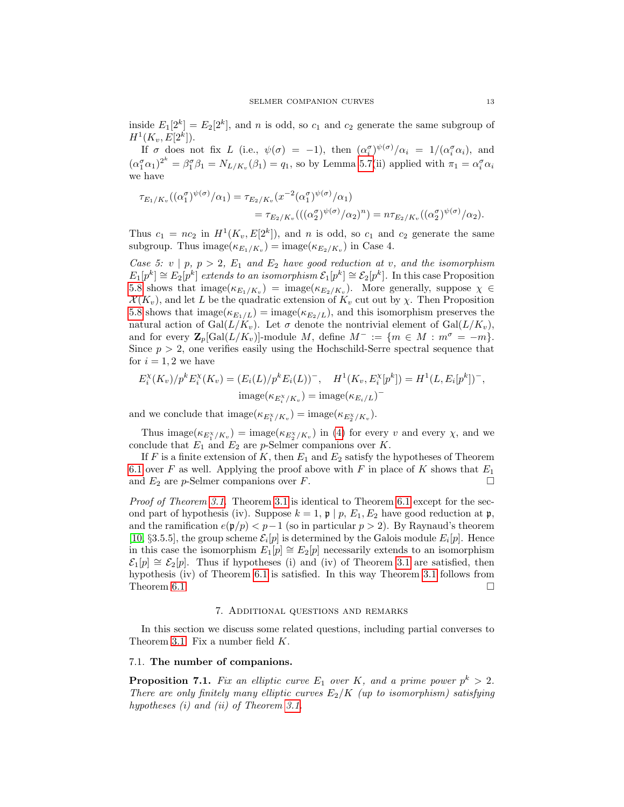inside  $E_1[2^k] = E_2[2^k]$ , and n is odd, so  $c_1$  and  $c_2$  generate the same subgroup of  $H^1(K_v, E[2^k]).$ 

If  $\sigma$  does not fix L (i.e.,  $\psi(\sigma) = -1$ ), then  $(\alpha_i^{\sigma})^{\psi(\sigma)}/\alpha_i = 1/(\alpha_i^{\sigma}\alpha_i)$ , and  $(\alpha_1^{\sigma}\alpha_1)^{2^k} = \beta_1^{\sigma}\beta_1 = N_{L/K_v}(\beta_1) = q_1$ , so by Lemma [5.7\(](#page-8-1)ii) applied with  $\pi_1 = \alpha_i^{\sigma}\alpha_i$ we have

$$
\tau_{E_1/K_v}((\alpha_1^{\sigma})^{\psi(\sigma)}/\alpha_1) = \tau_{E_2/K_v}(x^{-2}(\alpha_1^{\sigma})^{\psi(\sigma)}/\alpha_1) \n= \tau_{E_2/K_v}(((\alpha_2^{\sigma})^{\psi(\sigma)}/\alpha_2)^n) = n\tau_{E_2/K_v}((\alpha_2^{\sigma})^{\psi(\sigma)}/\alpha_2).
$$

Thus  $c_1 = nc_2$  in  $H^1(K_v, E[2^k])$ , and n is odd, so  $c_1$  and  $c_2$  generate the same subgroup. Thus  $\text{image}(\kappa_{E_1/K_v}) = \text{image}(\kappa_{E_2/K_v})$  in Case 4.

Case 5:  $v | p, p > 2$ ,  $E_1$  and  $E_2$  have good reduction at v, and the isomorphism  $E_1[p^k] \cong E_2[p^k]$  extends to an isomorphism  $\mathcal{E}_1[p^k] \cong \mathcal{E}_2[p^k]$ . In this case Proposition [5.8](#page-9-0) shows that  $\text{image}(\kappa_{E_1/K_v}) = \text{image}(\kappa_{E_2/K_v})$ . More generally, suppose  $\chi \in$  $\mathcal{X}(K_v)$ , and let L be the quadratic extension of  $K_v$  cut out by  $\chi$ . Then Proposition [5.8](#page-9-0) shows that  $\text{image}(\kappa_{E_1/L}) = \text{image}(\kappa_{E_2/L})$ , and this isomorphism preserves the natural action of Gal $(L/K_v)$ . Let  $\sigma$  denote the nontrivial element of Gal $(L/K_v)$ , and for every  $\mathbf{Z}_p[\text{Gal}(L/K_v)]$ -module M, define  $M^- := \{m \in M : m^{\sigma} = -m\}.$ Since  $p > 2$ , one verifies easily using the Hochschild-Serre spectral sequence that for  $i = 1, 2$  we have

$$
E_i^{\chi}(K_v)/p^k E_i^{\chi}(K_v) = (E_i(L)/p^k E_i(L))^{-}, \quad H^1(K_v, E_i^{\chi}[p^k]) = H^1(L, E_i[p^k])^{-},
$$
  
image( $\kappa_{E_i^{\chi}/K_v}$ ) = image( $\kappa_{E_i/L}$ )<sup>-</sup>

and we conclude that  $\text{image}(\kappa_{E_1^{\chi}/K_v}) = \text{image}(\kappa_{E_2^{\chi}/K_v}).$ 

Thus image( $\kappa_{E_1^{\chi}/K_v}$ ) = image( $\kappa_{E_2^{\chi}/K_v}$ ) in [\(4\)](#page-10-3) for every v and every  $\chi$ , and we conclude that  $E_1$  and  $E_2$  are p-Selmer companions over K.

If F is a finite extension of K, then  $E_1$  and  $E_2$  satisfy the hypotheses of Theorem [6.1](#page-10-2) over  $F$  as well. Applying the proof above with  $F$  in place of  $K$  shows that  $E_1$ and  $E_2$  are p-Selmer companions over F.

Proof of Theorem [3.1.](#page-3-0) Theorem [3.1](#page-3-0) is identical to Theorem [6.1](#page-10-2) except for the second part of hypothesis (iv). Suppose  $k = 1$ ,  $\mathfrak{p} \mid p$ ,  $E_1, E_2$  have good reduction at  $\mathfrak{p}$ , and the ramification  $e(p/p) < p-1$  (so in particular  $p > 2$ ). By Raynaud's theorem [\[10,](#page-19-9) §3.5.5], the group scheme  $\mathcal{E}_i[p]$  is determined by the Galois module  $E_i[p]$ . Hence in this case the isomorphism  $E_1[p] \cong E_2[p]$  necessarily extends to an isomorphism  $\mathcal{E}_1[p] \cong \mathcal{E}_2[p]$ . Thus if hypotheses (i) and (iv) of Theorem [3.1](#page-3-0) are satisfied, then hypothesis (iv) of Theorem [6.1](#page-10-2) is satisfied. In this way Theorem [3.1](#page-3-0) follows from Theorem [6.1.](#page-10-2)  $\Box$ 

#### 7. Additional questions and remarks

<span id="page-12-0"></span>In this section we discuss some related questions, including partial converses to Theorem [3.1.](#page-3-0) Fix a number field K.

## 7.1. The number of companions.

<span id="page-12-1"></span>**Proposition 7.1.** Fix an elliptic curve  $E_1$  over K, and a prime power  $p^k > 2$ . There are only finitely many elliptic curves  $E_2/K$  (up to isomorphism) satisfying hypotheses (i) and (ii) of Theorem [3.1.](#page-3-0)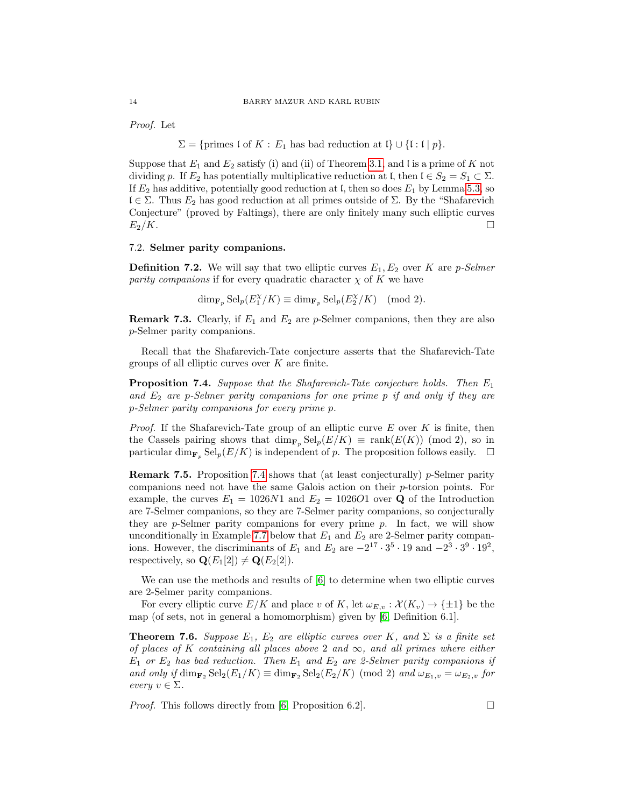Proof. Let

 $\Sigma = \{\text{primes } \mathfrak{l} \text{ of } K : E_1 \text{ has bad reduction at } \mathfrak{l} \} \cup \{\mathfrak{l} : \mathfrak{l} \mid p\}.$ 

Suppose that  $E_1$  and  $E_2$  satisfy (i) and (ii) of Theorem [3.1,](#page-3-0) and I is a prime of K not dividing p. If  $E_2$  has potentially multiplicative reduction at l, then  $\mathfrak{l} \in S_2 = S_1 \subset \Sigma$ . If  $E_2$  has additive, potentially good reduction at l, then so does  $E_1$  by Lemma [5.3,](#page-7-0) so l ∈ Σ. Thus E<sup>2</sup> has good reduction at all primes outside of Σ. By the "Shafarevich Conjecture" (proved by Faltings), there are only finitely many such elliptic curves  $E_2/K.$ 

# 7.2. Selmer parity companions.

**Definition 7.2.** We will say that two elliptic curves  $E_1, E_2$  over K are *p*-Selmer parity companions if for every quadratic character  $\chi$  of K we have

 $\dim_{\mathbf{F}_p} \text{Sel}_p(E_1^X/K) \equiv \dim_{\mathbf{F}_p} \text{Sel}_p(E_2^X/K) \pmod{2}.$ 

**Remark 7.3.** Clearly, if  $E_1$  and  $E_2$  are p-Selmer companions, then they are also p-Selmer parity companions.

Recall that the Shafarevich-Tate conjecture asserts that the Shafarevich-Tate groups of all elliptic curves over  $K$  are finite.

<span id="page-13-0"></span>**Proposition 7.4.** Suppose that the Shafarevich-Tate conjecture holds. Then  $E_1$ and  $E_2$  are p-Selmer parity companions for one prime p if and only if they are p-Selmer parity companions for every prime p.

*Proof.* If the Shafarevich-Tate group of an elliptic curve  $E$  over  $K$  is finite, then the Cassels pairing shows that  $\dim_{\mathbf{F}_p} \text{Sel}_p(E/K) \equiv \text{rank}(E(K)) \pmod{2}$ , so in particular dim<sub>F<sub>n</sub></sub> Sel<sub>p</sub> $(E/K)$  is independent of p. The proposition follows easily.  $\square$ 

Remark 7.5. Proposition [7.4](#page-13-0) shows that (at least conjecturally) p-Selmer parity companions need not have the same Galois action on their p-torsion points. For example, the curves  $E_1 = 1026N1$  and  $E_2 = 1026O1$  over Q of the Introduction are 7-Selmer companions, so they are 7-Selmer parity companions, so conjecturally they are  $p$ -Selmer parity companions for every prime  $p$ . In fact, we will show unconditionally in Example [7.7](#page-14-0) below that  $E_1$  and  $E_2$  are 2-Selmer parity companions. However, the discriminants of  $E_1$  and  $E_2$  are  $-2^{17} \cdot 3^5 \cdot 19$  and  $-2^3 \cdot 3^9 \cdot 19^2$ , respectively, so  $\mathbf{Q}(E_1[2]) \neq \mathbf{Q}(E_2[2])$ .

We can use the methods and results of  $[6]$  to determine when two elliptic curves are 2-Selmer parity companions.

For every elliptic curve  $E/K$  and place v of K, let  $\omega_{E,v} : \mathcal{X}(K_v) \to \{\pm 1\}$  be the map (of sets, not in general a homomorphism) given by [\[6,](#page-18-2) Definition 6.1].

<span id="page-13-1"></span>**Theorem 7.6.** Suppose  $E_1$ ,  $E_2$  are elliptic curves over K, and  $\Sigma$  is a finite set of places of K containing all places above 2 and  $\infty$ , and all primes where either  $E_1$  or  $E_2$  has bad reduction. Then  $E_1$  and  $E_2$  are 2-Selmer parity companions if and only if  $\dim_{\mathbf{F}_2} \text{Sel}_2(E_1/K) \equiv \dim_{\mathbf{F}_2} \text{Sel}_2(E_2/K) \pmod{2}$  and  $\omega_{E_1,v} = \omega_{E_2,v}$  for every  $v \in \Sigma$ .

*Proof.* This follows directly from [\[6,](#page-18-2) Proposition 6.2].  $\Box$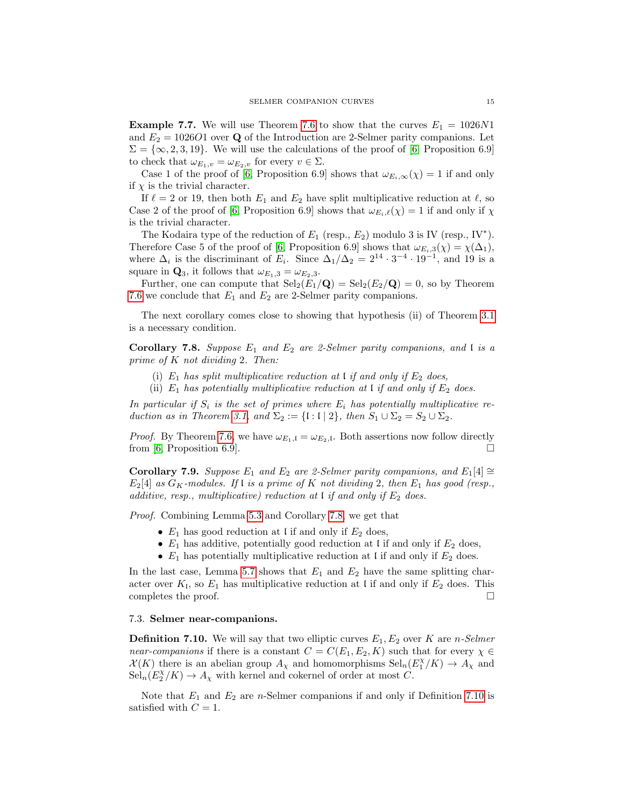<span id="page-14-0"></span>**Example 7.7.** We will use Theorem [7.6](#page-13-1) to show that the curves  $E_1 = 1026N1$ and  $E_2 = 102601$  over Q of the Introduction are 2-Selmer parity companions. Let  $\Sigma = \{\infty, 2, 3, 19\}$ . We will use the calculations of the proof of [\[6,](#page-18-2) Proposition 6.9] to check that  $\omega_{E_1,v} = \omega_{E_2,v}$  for every  $v \in \Sigma$ .

Case 1 of the proof of [\[6,](#page-18-2) Proposition 6.9] shows that  $\omega_{E_i,\infty}(\chi) = 1$  if and only if  $\chi$  is the trivial character.

If  $\ell = 2$  or 19, then both  $E_1$  and  $E_2$  have split multiplicative reduction at  $\ell$ , so Case 2 of the proof of [\[6,](#page-18-2) Proposition 6.9] shows that  $\omega_{E_i,\ell}(\chi) = 1$  if and only if  $\chi$ is the trivial character.

The Kodaira type of the reduction of  $E_1$  (resp.,  $E_2$ ) modulo 3 is IV (resp., IV<sup>\*</sup>). Therefore Case 5 of the proof of [\[6,](#page-18-2) Proposition 6.9] shows that  $\omega_{E_i,3}(\chi) = \chi(\Delta_1)$ , where  $\Delta_i$  is the discriminant of  $E_i$ . Since  $\Delta_1/\Delta_2 = 2^{14} \cdot 3^{-4} \cdot 19^{-1}$ , and 19 is a square in  $\mathbf{Q}_3$ , it follows that  $\omega_{E_1,3} = \omega_{E_2,3}$ .

Further, one can compute that  $\text{Sel}_2(E_1/\mathbf{Q}) = \text{Sel}_2(E_2/\mathbf{Q}) = 0$ , so by Theorem [7.6](#page-13-1) we conclude that  $E_1$  and  $E_2$  are 2-Selmer parity companions.

The next corollary comes close to showing that hypothesis (ii) of Theorem [3.1](#page-3-0) is a necessary condition.

<span id="page-14-1"></span>Corollary 7.8. Suppose  $E_1$  and  $E_2$  are 2-Selmer parity companions, and  $\ell$  is a prime of K not dividing 2. Then:

- (i)  $E_1$  has split multiplicative reduction at l if and only if  $E_2$  does,
- (ii)  $E_1$  has potentially multiplicative reduction at I if and only if  $E_2$  does.

In particular if  $S_i$  is the set of primes where  $E_i$  has potentially multiplicative re-duction as in Theorem [3.1,](#page-3-0) and  $\Sigma_2 := \{ \mathfrak{l} : \mathfrak{l} \mid 2 \}$ , then  $S_1 \cup \Sigma_2 = S_2 \cup \Sigma_2$ .

*Proof.* By Theorem [7.6,](#page-13-1) we have  $\omega_{E_1,1} = \omega_{E_2,1}$ . Both assertions now follow directly from [\[6,](#page-18-2) Proposition 6.9].  $\Box$ 

Corollary 7.9. Suppose E<sub>1</sub> and E<sub>2</sub> are 2-Selmer parity companions, and E<sub>1</sub>[4] ≅  $E_2[4]$  as  $G_K$ -modules. If  $\mathfrak l$  is a prime of  $K$  not dividing 2, then  $E_1$  has good (resp., additive, resp., multiplicative) reduction at  $\iota$  if and only if  $E_2$  does.

Proof. Combining Lemma [5.3](#page-7-0) and Corollary [7.8,](#page-14-1) we get that

- $E_1$  has good reduction at l if and only if  $E_2$  does,
- $E_1$  has additive, potentially good reduction at l if and only if  $E_2$  does,
- $E_1$  has potentially multiplicative reduction at l if and only if  $E_2$  does.

In the last case, Lemma [5.7](#page-8-1) shows that  $E_1$  and  $E_2$  have the same splitting character over  $K_1$ , so  $E_1$  has multiplicative reduction at l if and only if  $E_2$  does. This completes the proof.  $\Box$ 

#### 7.3. Selmer near-companions.

<span id="page-14-2"></span>**Definition 7.10.** We will say that two elliptic curves  $E_1, E_2$  over K are n-Selmer near-companions if there is a constant  $C = C(E_1, E_2, K)$  such that for every  $\chi \in$  $\mathcal{X}(K)$  there is an abelian group  $A_{\chi}$  and homomorphisms  $\text{Sel}_{n}(E_{1}^{\chi}/K) \to A_{\chi}$  and  $\operatorname{Sel}_{n}(E_{2}^{\chi}/K) \to A_{\chi}$  with kernel and cokernel of order at most C.

Note that  $E_1$  and  $E_2$  are *n*-Selmer companions if and only if Definition [7.10](#page-14-2) is satisfied with  $C = 1$ .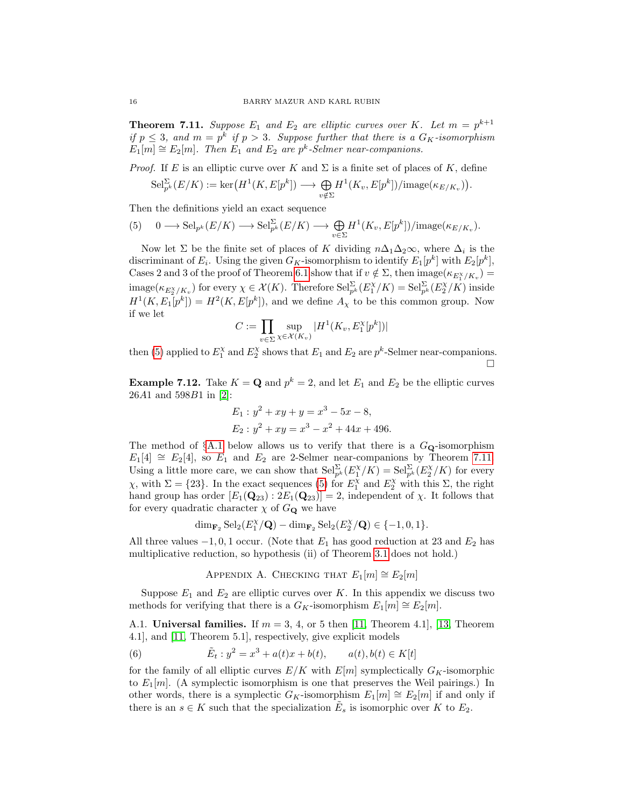<span id="page-15-3"></span>**Theorem 7.11.** Suppose  $E_1$  and  $E_2$  are elliptic curves over K. Let  $m = p^{k+1}$ if  $p \leq 3$ , and  $m = p^k$  if  $p > 3$ . Suppose further that there is a  $G_K$ -isomorphism  $E_1[m] \cong E_2[m]$ . Then  $E_1$  and  $E_2$  are  $p^k$ -Selmer near-companions.

*Proof.* If E is an elliptic curve over K and  $\Sigma$  is a finite set of places of K, define

$$
\mathrm{Sel}_{p^k}^{\Sigma}(E/K) := \mathrm{ker}\big(H^1(K, E[p^k]) \longrightarrow \bigoplus_{v \notin \Sigma} H^1(K_v, E[p^k]) / \mathrm{image}(\kappa_{E/K_v})\big).
$$

Then the definitions yield an exact sequence

<span id="page-15-2"></span>(5) 
$$
0 \longrightarrow \mathrm{Sel}_{p^k}(E/K) \longrightarrow \mathrm{Sel}_{p^k}^{\Sigma}(E/K) \longrightarrow \bigoplus_{v \in \Sigma} H^1(K_v, E[p^k]) / \mathrm{image}(\kappa_{E/K_v}).
$$

Now let  $\Sigma$  be the finite set of places of K dividing  $n\Delta_1\Delta_2\infty$ , where  $\Delta_i$  is the discriminant of  $E_i$ . Using the given  $G_K$ -isomorphism to identify  $E_1[p^k]$  with  $E_2[p^k]$ , Cases 2 and 3 of the proof of Theorem [6.1](#page-10-2) show that if  $v \notin \Sigma$ , then  $\text{image}(\kappa_{E_1^X/K_v}) =$  $\text{image}(\kappa_{E_2^{\chi}/K_v})$  for every  $\chi \in \mathcal{X}(K)$ . Therefore  $\text{Sel}_{p^k}^{\Sigma}(E_1^{\chi}/K) = \text{Sel}_{p^k}^{\Sigma}(E_2^{\chi}/K)$  inside  $H^1(K, E_1[p^k]) = H^2(K, E[p^k]),$  and we define  $A_\chi$  to be this common group. Now if we let

$$
C := \prod_{v \in \Sigma} \sup_{\chi \in \mathcal{X}(K_v)} |H^1(K_v, E_1^{\chi}[p^k])|
$$

then [\(5\)](#page-15-2) applied to  $E_1^{\chi}$  and  $E_2^{\chi}$  shows that  $E_1$  and  $E_2$  are  $p^k$ -Selmer near-companions. П

**Example 7.12.** Take  $K = \mathbf{Q}$  and  $p^k = 2$ , and let  $E_1$  and  $E_2$  be the elliptic curves 26A1 and 598B1 in [\[2\]](#page-18-3):

$$
E_1: y^2 + xy + y = x^3 - 5x - 8,
$$
  
\n
$$
E_2: y^2 + xy = x^3 - x^2 + 44x + 496.
$$

The method of  $\S$ [A.1](#page-15-1) below allows us to verify that there is a  $G_{\mathbf{Q}}$ -isomorphism  $E_1[4] \cong E_2[4]$ , so  $E_1$  and  $E_2$  are 2-Selmer near-companions by Theorem [7.11.](#page-15-3) Using a little more care, we can show that  $\text{Sel}_{p^k}^{\Sigma}(E_1^{\chi}/K) = \text{Sel}_{p^k}^{\Sigma}(E_2^{\chi}/K)$  for every  $\chi$ , with  $\Sigma = \{23\}$ . In the exact sequences [\(5\)](#page-15-2) for  $E_1^{\chi}$  and  $E_2^{\chi}$  with this Σ, the right hand group has order  $[E_1(\mathbf{Q}_{23}) : 2E_1(\mathbf{Q}_{23})] = 2$ , independent of  $\chi$ . It follows that for every quadratic character  $\chi$  of  $G_{\mathbf{Q}}$  we have

$$
\dim_{\mathbf{F}_2} \operatorname{Sel}_2(E_1^{\chi}/\mathbf{Q}) - \dim_{\mathbf{F}_2} \operatorname{Sel}_2(E_2^{\chi}/\mathbf{Q}) \in \{-1, 0, 1\}.
$$

All three values  $-1, 0, 1$  occur. (Note that  $E_1$  has good reduction at 23 and  $E_2$  has multiplicative reduction, so hypothesis (ii) of Theorem [3.1](#page-3-0) does not hold.)

<span id="page-15-4"></span>APPENDIX A. CHECKING THAT  $E_1[m] \cong E_2[m]$ 

<span id="page-15-0"></span>Suppose  $E_1$  and  $E_2$  are elliptic curves over K. In this appendix we discuss two methods for verifying that there is a  $G_K$ -isomorphism  $E_1[m] \cong E_2[m]$ .

<span id="page-15-1"></span>A.1. Universal families. If  $m = 3, 4$ , or 5 then [\[11,](#page-19-10) Theorem 4.1], [\[13,](#page-19-8) Theorem 4.1], and [\[11,](#page-19-10) Theorem 5.1], respectively, give explicit models

(6) 
$$
\tilde{E}_t : y^2 = x^3 + a(t)x + b(t), \qquad a(t), b(t) \in K[t]
$$

for the family of all elliptic curves  $E/K$  with  $E[m]$  symplectically  $G_K$ -isomorphic to  $E_1[m]$ . (A symplectic isomorphism is one that preserves the Weil pairings.) In other words, there is a symplectic  $G_K$ -isomorphism  $E_1[m] \cong E_2[m]$  if and only if there is an  $s \in K$  such that the specialization  $\tilde{E}_s$  is isomorphic over K to  $E_2$ .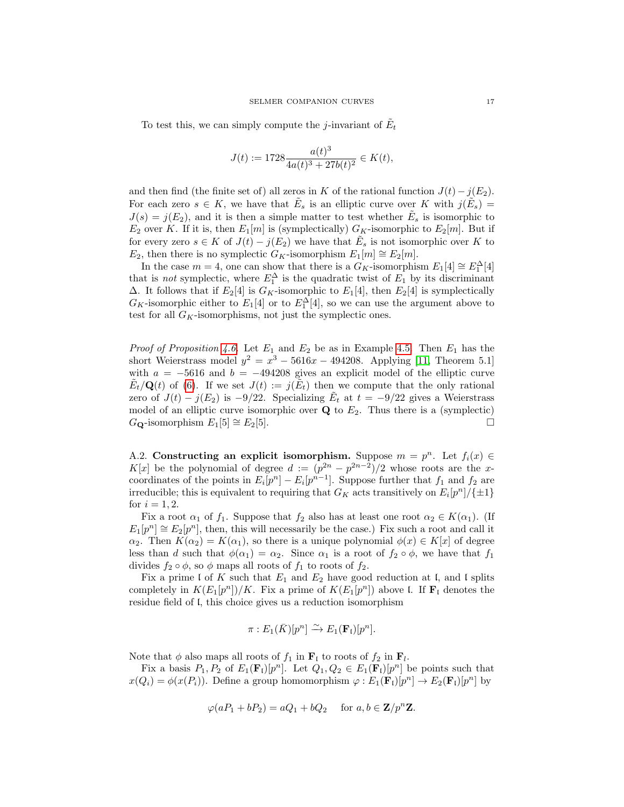To test this, we can simply compute the *j*-invariant of  $\tilde{E}_t$ 

$$
J(t) := 1728 \frac{a(t)^3}{4a(t)^3 + 27b(t)^2} \in K(t),
$$

and then find (the finite set of) all zeros in K of the rational function  $J(t) - j(E_2)$ . For each zero  $s \in K$ , we have that  $\tilde{E}_s$  is an elliptic curve over K with  $j(\tilde{E}_s)$  =  $J(s) = j(E_2)$ , and it is then a simple matter to test whether  $\tilde{E}_s$  is isomorphic to  $E_2$  over K. If it is, then  $E_1[m]$  is (symplectically)  $G_K$ -isomorphic to  $E_2[m]$ . But if for every zero  $s \in K$  of  $J(t) - j(E_2)$  we have that  $\tilde{E}_s$  is not isomorphic over K to E<sub>2</sub>, then there is no symplectic G<sub>K</sub>-isomorphism  $E_1[m] \cong E_2[m]$ .

In the case  $m = 4$ , one can show that there is a  $G_K$ -isomorphism  $E_1[4] \cong E_1^{\Delta}[4]$ that is *not* symplectic, where  $E_1^{\Delta}$  is the quadratic twist of  $E_1$  by its discriminant  $\Delta$ . It follows that if  $E_2[4]$  is  $G_K$ -isomorphic to  $E_1[4]$ , then  $E_2[4]$  is symplectically  $G_K$ -isomorphic either to  $E_1[4]$  or to  $E_1^{\Delta}[4]$ , so we can use the argument above to test for all  $G_K$ -isomorphisms, not just the symplectic ones.

*Proof of Proposition [4.6.](#page-5-2)* Let  $E_1$  and  $E_2$  be as in Example [4.5.](#page-5-1) Then  $E_1$  has the short Weierstrass model  $y^2 = x^3 - 5616x - 494208$ . Applying [\[11,](#page-19-10) Theorem 5.1] with  $a = -5616$  and  $b = -494208$  gives an explicit model of the elliptic curve  $\tilde{E}_t/\mathbf{Q}(t)$  of [\(6\)](#page-15-4). If we set  $J(t) := j(\tilde{E}_t)$  then we compute that the only rational zero of  $J(t) - j(E_2)$  is  $-9/22$ . Specializing  $\tilde{E}_t$  at  $t = -9/22$  gives a Weierstrass model of an elliptic curve isomorphic over  $Q$  to  $E_2$ . Thus there is a (symplectic)  $G_{\mathbf{Q}}$ -isomorphism  $E_1[5] \cong E_2[5]$ .

<span id="page-16-0"></span>A.2. Constructing an explicit isomorphism. Suppose  $m = p^n$ . Let  $f_i(x) \in$ K[x] be the polynomial of degree  $d := (p^{2n} - p^{2n-2})/2$  whose roots are the xcoordinates of the points in  $E_i[p^n] - E_i[p^{n-1}]$ . Suppose further that  $f_1$  and  $f_2$  are irreducible; this is equivalent to requiring that  $G_K$  acts transitively on  $E_i[p^n]/\{\pm 1\}$ for  $i = 1, 2$ .

Fix a root  $\alpha_1$  of  $f_1$ . Suppose that  $f_2$  also has at least one root  $\alpha_2 \in K(\alpha_1)$ . (If  $E_1[p^n] \cong E_2[p^n]$ , then, this will necessarily be the case.) Fix such a root and call it  $\alpha_2$ . Then  $K(\alpha_2) = K(\alpha_1)$ , so there is a unique polynomial  $\phi(x) \in K[x]$  of degree less than d such that  $\phi(\alpha_1) = \alpha_2$ . Since  $\alpha_1$  is a root of  $f_2 \circ \phi$ , we have that  $f_1$ divides  $f_2 \circ \phi$ , so  $\phi$  maps all roots of  $f_1$  to roots of  $f_2$ .

Fix a prime I of K such that  $E_1$  and  $E_2$  have good reduction at I, and I splits completely in  $K(E_1[p^n])/K$ . Fix a prime of  $K(E_1[p^n])$  above l. If  $\mathbf{F}_{\mathfrak{l}}$  denotes the residue field of l, this choice gives us a reduction isomorphism

$$
\pi: E_1(\bar{K})[p^n] \xrightarrow{\sim} E_1(\mathbf{F}_\mathfrak{l})[p^n].
$$

Note that  $\phi$  also maps all roots of  $f_1$  in  $\mathbf{F}_1$  to roots of  $f_2$  in  $\mathbf{F}_l$ .

Fix a basis  $P_1, P_2$  of  $E_1(\mathbf{F}_1)[p^n]$ . Let  $Q_1, Q_2 \in E_1(\mathbf{F}_1)[p^n]$  be points such that  $x(Q_i) = \phi(x(P_i))$ . Define a group homomorphism  $\varphi : E_1(\mathbf{F}_1)[p^n] \to E_2(\mathbf{F}_1)[p^n]$  by

$$
\varphi(aP_1 + bP_2) = aQ_1 + bQ_2 \quad \text{ for } a, b \in \mathbf{Z}/p^n\mathbf{Z}.
$$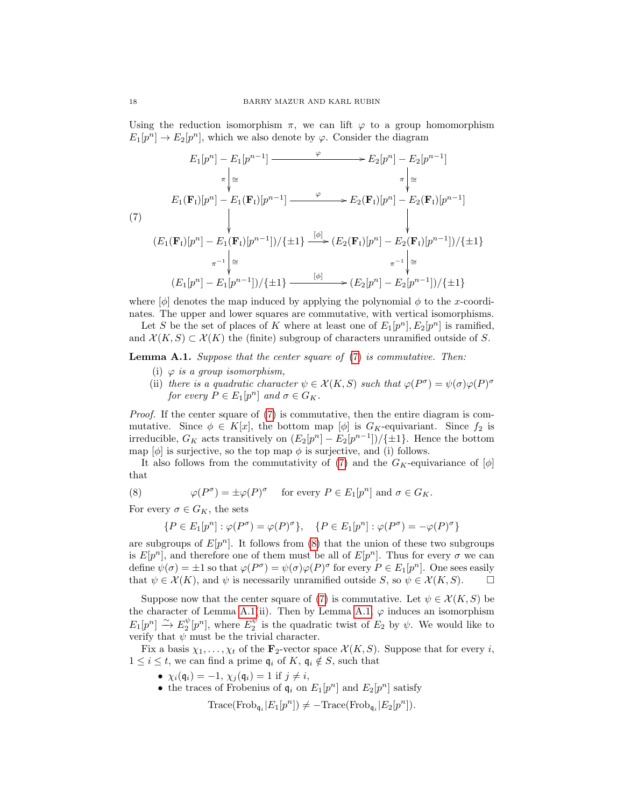Using the reduction isomorphism  $\pi$ , we can lift  $\varphi$  to a group homomorphism  $E_1[p^n] \to E_2[p^n]$ , which we also denote by  $\varphi$ . Consider the diagram

<span id="page-17-0"></span>
$$
E_1[p^n] - E_1[p^{n-1}] \xrightarrow{\varphi} E_2[p^n] - E_2[p^{n-1}]
$$
\n
$$
\pi \downarrow \cong
$$
\n
$$
E_1(\mathbf{F}_1)[p^n] - E_1(\mathbf{F}_1)[p^{n-1}] \xrightarrow{\varphi} E_2(\mathbf{F}_1)[p^n] - E_2(\mathbf{F}_1)[p^{n-1}]
$$
\n(7)\n
$$
\downarrow \qquad \qquad \downarrow
$$
\n
$$
(E_1(\mathbf{F}_1)[p^n] - E_1(\mathbf{F}_1)[p^{n-1}])/{\pm 1} \xrightarrow{\lbrack \phi \rbrack} (E_2(\mathbf{F}_1)[p^n] - E_2(\mathbf{F}_1)[p^{n-1}])/{\pm 1}
$$
\n
$$
\pi^{-1} \downarrow \cong
$$
\n
$$
(E_1[p^n] - E_1[p^{n-1}])/{\pm 1} \xrightarrow{\lbrack \phi \rbrack} \longrightarrow (E_2[p^n] - E_2[p^{n-1}])/{\pm 1}
$$

where  $[\phi]$  denotes the map induced by applying the polynomial  $\phi$  to the x-coordinates. The upper and lower squares are commutative, with vertical isomorphisms.

Let S be the set of places of K where at least one of  $E_1[p^n], E_2[p^n]$  is ramified, and  $\mathcal{X}(K, S) \subset \mathcal{X}(K)$  the (finite) subgroup of characters unramified outside of S.

<span id="page-17-2"></span>**Lemma A.1.** Suppose that the center square of [\(7\)](#page-17-0) is commutative. Then:

- (i)  $\varphi$  is a group isomorphism,
- (ii) there is a quadratic character  $\psi \in \mathcal{X}(K, S)$  such that  $\varphi(P^{\sigma}) = \psi(\sigma) \varphi(P)^{\sigma}$ for every  $P \in E_1[p^n]$  and  $\sigma \in G_K$ .

Proof. If the center square of [\(7\)](#page-17-0) is commutative, then the entire diagram is commutative. Since  $\phi \in K[x]$ , the bottom map  $[\phi]$  is  $G_K$ -equivariant. Since  $f_2$  is irreducible,  $G_K$  acts transitively on  $(E_2[p^n] - E_2[p^{n-1}]) / {\pm 1}$ . Hence the bottom map  $[\phi]$  is surjective, so the top map  $\phi$  is surjective, and (i) follows.

It also follows from the commutativity of [\(7\)](#page-17-0) and the  $G_K$ -equivariance of  $[\phi]$ that

(8) 
$$
\varphi(P^{\sigma}) = \pm \varphi(P)^{\sigma} \quad \text{for every } P \in E_1[p^n] \text{ and } \sigma \in G_K.
$$

For every  $\sigma \in G_K$ , the sets

<span id="page-17-1"></span>
$$
\{P \in E_1[p^n] : \varphi(P^\sigma) = \varphi(P)^\sigma\}, \quad \{P \in E_1[p^n] : \varphi(P^\sigma) = -\varphi(P)^\sigma\}
$$

are subgroups of  $E[p^n]$ . It follows from [\(8\)](#page-17-1) that the union of these two subgroups is  $E[p^n]$ , and therefore one of them must be all of  $E[p^n]$ . Thus for every  $\sigma$  we can define  $\psi(\sigma) = \pm 1$  so that  $\varphi(P^{\sigma}) = \psi(\sigma) \varphi(P)^{\sigma}$  for every  $P \in E_1[p^n]$ . One sees easily that  $\psi \in \mathcal{X}(K)$ , and  $\psi$  is necessarily unramified outside S, so  $\psi \in \mathcal{X}(K, S)$ .

Suppose now that the center square of [\(7\)](#page-17-0) is commutative. Let  $\psi \in \mathcal{X}(K, S)$  be the character of Lemma [A.1\(](#page-17-2)ii). Then by Lemma [A.1,](#page-17-2)  $\varphi$  induces an isomorphism  $E_1[p^n] \stackrel{\sim}{\to} E_2^{\psi}[p^n]$ , where  $E_2^{\psi}$  is the quadratic twist of  $E_2$  by  $\psi$ . We would like to verify that  $\psi$  must be the trivial character.

Fix a basis  $\chi_1, \ldots, \chi_t$  of the  $\mathbf{F}_2$ -vector space  $\mathcal{X}(K, S)$ . Suppose that for every *i*,  $1 \leq i \leq t$ , we can find a prime  $\mathfrak{q}_i$  of K,  $\mathfrak{q}_i \notin S$ , such that

- $\chi_i(\mathfrak{q}_i) = -1$ ,  $\chi_j(\mathfrak{q}_i) = 1$  if  $j \neq i$ ,
- the traces of Frobenius of  $\mathfrak{q}_i$  on  $E_1[p^n]$  and  $E_2[p^n]$  satisfy

 $\text{Trace}(\text{Frob}_{\mathfrak{q}_i} | E_1[p^n]) \neq -\text{Trace}(\text{Frob}_{\mathfrak{q}_i} | E_2[p^n]).$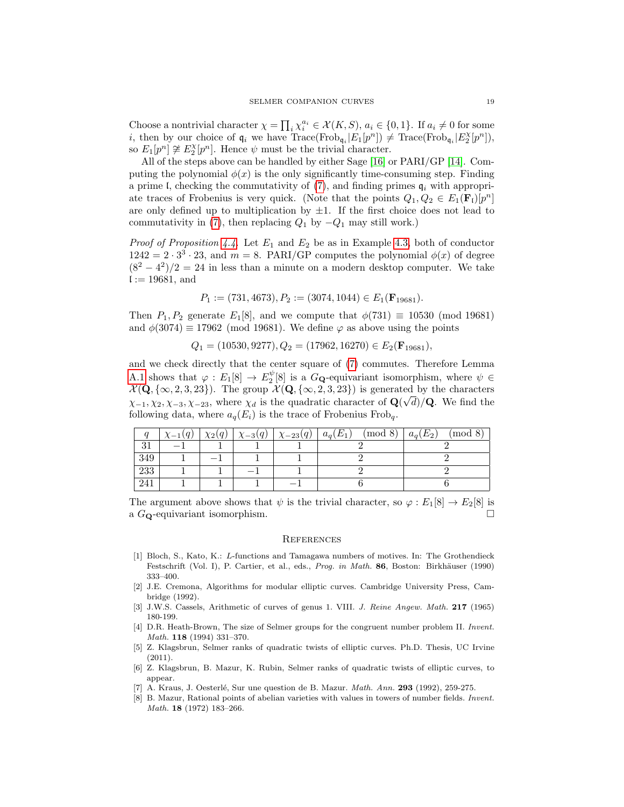Choose a nontrivial character  $\chi = \prod_i \chi_i^{a_i} \in \mathcal{X}(K, S)$ ,  $a_i \in \{0, 1\}$ . If  $a_i \neq 0$  for some *i*, then by our choice of  $\mathfrak{q}_i$  we have  $Trace(Frob_{\mathfrak{q}_i}[E_1[p^n]) \neq Trace(Frob_{\mathfrak{q}_i}[E_2^{\chi}[p^n]),$ so  $E_1[p^n] \not\cong E_2^{\chi}[p^n]$ . Hence  $\psi$  must be the trivial character.

All of the steps above can be handled by either Sage [\[16\]](#page-19-5) or PARI/GP [\[14\]](#page-19-6). Computing the polynomial  $\phi(x)$  is the only significantly time-consuming step. Finding a prime I, checking the commutativity of  $(7)$ , and finding primes  $q_i$  with appropriate traces of Frobenius is very quick. (Note that the points  $Q_1, Q_2 \in E_1(\mathbf{F}_1)[p^n]$ are only defined up to multiplication by  $\pm 1$ . If the first choice does not lead to commutativity in [\(7\)](#page-17-0), then replacing  $Q_1$  by  $-Q_1$  may still work.)

*Proof of Proposition [4.4.](#page-5-0)* Let  $E_1$  and  $E_2$  be as in Example [4.3,](#page-5-3) both of conductor  $1242 = 2 \cdot 3^3 \cdot 23$ , and  $m = 8$ . PARI/GP computes the polynomial  $\phi(x)$  of degree  $(8^2 - 4^2)/2 = 24$  in less than a minute on a modern desktop computer. We take  $l := 19681$ , and

$$
P_1 := (731, 4673), P_2 := (3074, 1044) \in E_1(\mathbf{F}_{19681}).
$$

Then  $P_1, P_2$  generate  $E_1[8]$ , and we compute that  $\phi(731) \equiv 10530 \pmod{19681}$ and  $\phi(3074) \equiv 17962 \pmod{19681}$ . We define  $\varphi$  as above using the points

 $Q_1 = (10530, 9277), Q_2 = (17962, 16270) \in E_2(\mathbf{F}_{19681}),$ 

and we check directly that the center square of [\(7\)](#page-17-0) commutes. Therefore Lemma [A.1](#page-17-2) shows that  $\varphi: E_1[8] \to E_2^{\psi}[8]$  is a  $G_{\mathbf{Q}}$ -equivariant isomorphism, where  $\psi \in$  $\mathcal{X}(\mathbf{Q}, \{\infty, 2, 3, 23\})$ . The group  $\mathcal{X}(\mathbf{Q}, \{\infty, 2, 3, 23\})$  is generated by the characters  $\chi_{-1}, \chi_2, \chi_{-3}, \chi_{-23}$ , where  $\chi_d$  is the quadratic character of  $\mathbf{Q}(\sqrt{d})/\mathbf{Q}$ . We find the following data, where  $a_q(E_i)$  is the trace of Frobenius Frob<sub>q</sub>.

|     | $\chi_{-1}(q)$ | $\chi_2(q)$ | $\mid \underline{\chi}_{-3}(q)\mid \underline{\chi}_{-23}(q)\mid a_q(E_1)\mid$ | $\pmod{8}$ | $a_q(E_2)$<br>(mod 8) |
|-----|----------------|-------------|--------------------------------------------------------------------------------|------------|-----------------------|
|     |                |             |                                                                                |            |                       |
| 349 |                |             |                                                                                |            |                       |
| 233 |                |             |                                                                                |            |                       |
| 241 |                |             |                                                                                |            |                       |

The argument above shows that  $\psi$  is the trivial character, so  $\varphi : E_1[8] \to E_2[8]$  is a GQ-equivariant isomorphism.

#### **REFERENCES**

- <span id="page-18-4"></span>[1] Bloch, S., Kato, K.: L-functions and Tamagawa numbers of motives. In: The Grothendieck Festschrift (Vol. I), P. Cartier, et al., eds., Prog. in Math. 86, Boston: Birkhäuser (1990) 333–400.
- <span id="page-18-3"></span>[2] J.E. Cremona, Algorithms for modular elliptic curves. Cambridge University Press, Cambridge (1992).
- <span id="page-18-7"></span>[3] J.W.S. Cassels, Arithmetic of curves of genus 1. VIII. J. Reine Angew. Math. 217 (1965) 180-199.
- <span id="page-18-0"></span>[4] D.R. Heath-Brown, The size of Selmer groups for the congruent number problem II. Invent. Math. 118 (1994) 331–370.
- <span id="page-18-1"></span>[5] Z. Klagsbrun, Selmer ranks of quadratic twists of elliptic curves. Ph.D. Thesis, UC Irvine (2011).
- <span id="page-18-2"></span>[6] Z. Klagsbrun, B. Mazur, K. Rubin, Selmer ranks of quadratic twists of elliptic curves, to appear.
- <span id="page-18-5"></span>A. Kraus, J. Oesterlé, Sur une question de B. Mazur. Math. Ann. 293 (1992), 259-275.
- <span id="page-18-6"></span>[8] B. Mazur, Rational points of abelian varieties with values in towers of number fields. Invent. Math. 18 (1972) 183–266.